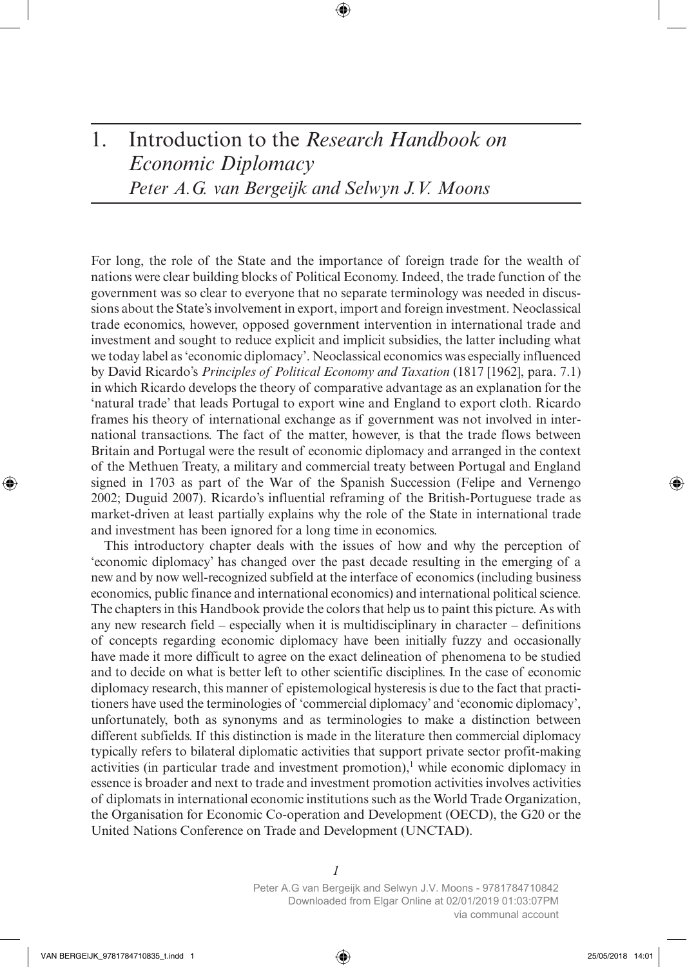# 1. Introduction to the *Research Handbook on Economic Diplomacy Peter A.G. van Bergeijk and Selwyn J.V. Moons*

For long, the role of the State and the importance of foreign trade for the wealth of nations were clear building blocks of Political Economy. Indeed, the trade function of the government was so clear to everyone that no separate terminology was needed in discussions about the State's involvement in export, import and foreign investment. Neoclassical trade economics, however, opposed government intervention in international trade and investment and sought to reduce explicit and implicit subsidies, the latter including what we today label as 'economic diplomacy'. Neoclassical economics was especially influenced by David Ricardo's *Principles of Political Economy and Taxation* (1817 [1962], para. 7.1) in which Ricardo develops the theory of comparative advantage as an explanation for the 'natural trade' that leads Portugal to export wine and England to export cloth. Ricardo frames his theory of international exchange as if government was not involved in international transactions. The fact of the matter, however, is that the trade flows between Britain and Portugal were the result of economic diplomacy and arranged in the context of the Methuen Treaty, a military and commercial treaty between Portugal and England signed in 1703 as part of the War of the Spanish Succession (Felipe and Vernengo 2002; Duguid 2007). Ricardo's influential reframing of the British-Portuguese trade as market-driven at least partially explains why the role of the State in international trade and investment has been ignored for a long time in economics.

This introductory chapter deals with the issues of how and why the perception of 'economic diplomacy' has changed over the past decade resulting in the emerging of a new and by now well-recognized subfield at the interface of economics (including business economics, public finance and international economics) and international political science. The chapters in this Handbook provide the colors that help us to paint this picture. As with any new research field – especially when it is multidisciplinary in character – definitions of concepts regarding economic diplomacy have been initially fuzzy and occasionally have made it more difficult to agree on the exact delineation of phenomena to be studied and to decide on what is better left to other scientific disciplines. In the case of economic diplomacy research, this manner of epistemological hysteresis is due to the fact that practitioners have used the terminologies of 'commercial diplomacy' and 'economic diplomacy', unfortunately, both as synonyms and as terminologies to make a distinction between different subfields. If this distinction is made in the literature then commercial diplomacy typically refers to bilateral diplomatic activities that support private sector profit-making activities (in particular trade and investment promotion),<sup>1</sup> while economic diplomacy in essence is broader and next to trade and investment promotion activities involves activities of diplomats in international economic institutions such as the World Trade Organization, the Organisation for Economic Co-operation and Development (OECD), the G20 or the United Nations Conference on Trade and Development (UNCTAD).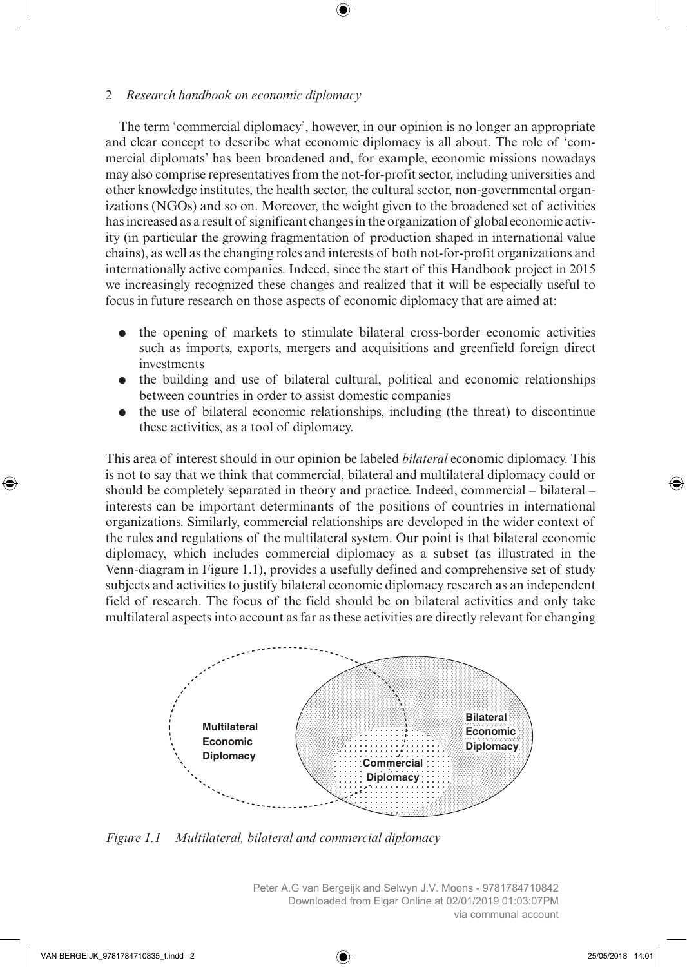### 2 *Research handbook on economic diplomacy*

The term 'commercial diplomacy', however, in our opinion is no longer an appropriate and clear concept to describe what economic diplomacy is all about. The role of 'commercial diplomats' has been broadened and, for example, economic missions nowadays may also comprise representatives from the not-for-profit sector, including universities and other knowledge institutes, the health sector, the cultural sector, non-governmental organizations (NGOs) and so on. Moreover, the weight given to the broadened set of activities has increased as a result of significant changes in the organization of global economic activity (in particular the growing fragmentation of production shaped in international value chains), as well as the changing roles and interests of both not-for-profit organizations and internationally active companies. Indeed, since the start of this Handbook project in 2015 we increasingly recognized these changes and realized that it will be especially useful to focus in future research on those aspects of economic diplomacy that are aimed at:

- the opening of markets to stimulate bilateral cross-border economic activities such as imports, exports, mergers and acquisitions and greenfield foreign direct investments
- the building and use of bilateral cultural, political and economic relationships between countries in order to assist domestic companies
- the use of bilateral economic relationships, including (the threat) to discontinue these activities, as a tool of diplomacy.

This area of interest should in our opinion be labeled *bilateral* economic diplomacy. This is not to say that we think that commercial, bilateral and multilateral diplomacy could or should be completely separated in theory and practice. Indeed, commercial – bilateral – interests can be important determinants of the positions of countries in international organizations. Similarly, commercial relationships are developed in the wider context of the rules and regulations of the multilateral system. Our point is that bilateral economic diplomacy, which includes commercial diplomacy as a subset (as illustrated in the Venn-diagram in Figure 1.1), provides a usefully defined and comprehensive set of study subjects and activities to justify bilateral economic diplomacy research as an independent field of research. The focus of the field should be on bilateral activities and only take multilateral aspects into account as far as these activities are directly relevant for changing



*Figure 1.1 Multilateral, bilateral and commercial diplomacy*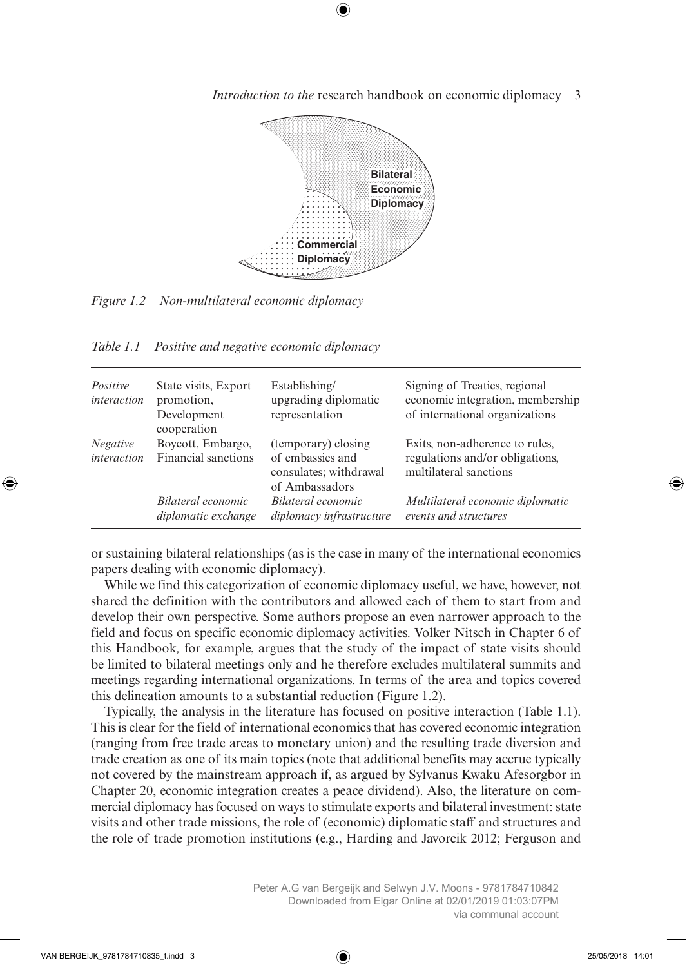

*Figure 1.2 Non-multilateral economic diplomacy*

| Table 1.1 |  | Positive and negative economic diplomacy |  |
|-----------|--|------------------------------------------|--|
|-----------|--|------------------------------------------|--|

| Positive<br><i>interaction</i>        | State visits, Export<br>promotion,<br>Development<br>cooperation | Establishing/<br>upgrading diplomatic<br>representation                             | Signing of Treaties, regional<br>economic integration, membership<br>of international organizations |
|---------------------------------------|------------------------------------------------------------------|-------------------------------------------------------------------------------------|-----------------------------------------------------------------------------------------------------|
| <i>Negative</i><br><i>interaction</i> | Boycott, Embargo,<br>Financial sanctions                         | (temporary) closing<br>of embassies and<br>consulates; withdrawal<br>of Ambassadors | Exits, non-adherence to rules,<br>regulations and/or obligations,<br>multilateral sanctions         |
|                                       | Bilateral economic<br>diplomatic exchange                        | Bilateral economic<br>diplomacy infrastructure                                      | Multilateral economic diplomatic<br>events and structures                                           |

or sustaining bilateral relationships (as is the case in many of the international economics papers dealing with economic diplomacy).

While we find this categorization of economic diplomacy useful, we have, however, not shared the definition with the contributors and allowed each of them to start from and develop their own perspective. Some authors propose an even narrower approach to the field and focus on specific economic diplomacy activities. Volker Nitsch in Chapter 6 of this Handbook*,* for example, argues that the study of the impact of state visits should be limited to bilateral meetings only and he therefore excludes multilateral summits and meetings regarding international organizations. In terms of the area and topics covered this delineation amounts to a substantial reduction (Figure 1.2).

Typically, the analysis in the literature has focused on positive interaction (Table 1.1). This is clear for the field of international economics that has covered economic integration (ranging from free trade areas to monetary union) and the resulting trade diversion and trade creation as one of its main topics (note that additional benefits may accrue typically not covered by the mainstream approach if, as argued by Sylvanus Kwaku Afesorgbor in Chapter 20, economic integration creates a peace dividend). Also, the literature on commercial diplomacy has focused on ways to stimulate exports and bilateral investment: state visits and other trade missions, the role of (economic) diplomatic staff and structures and the role of trade promotion institutions (e.g., Harding and Javorcik 2012; Ferguson and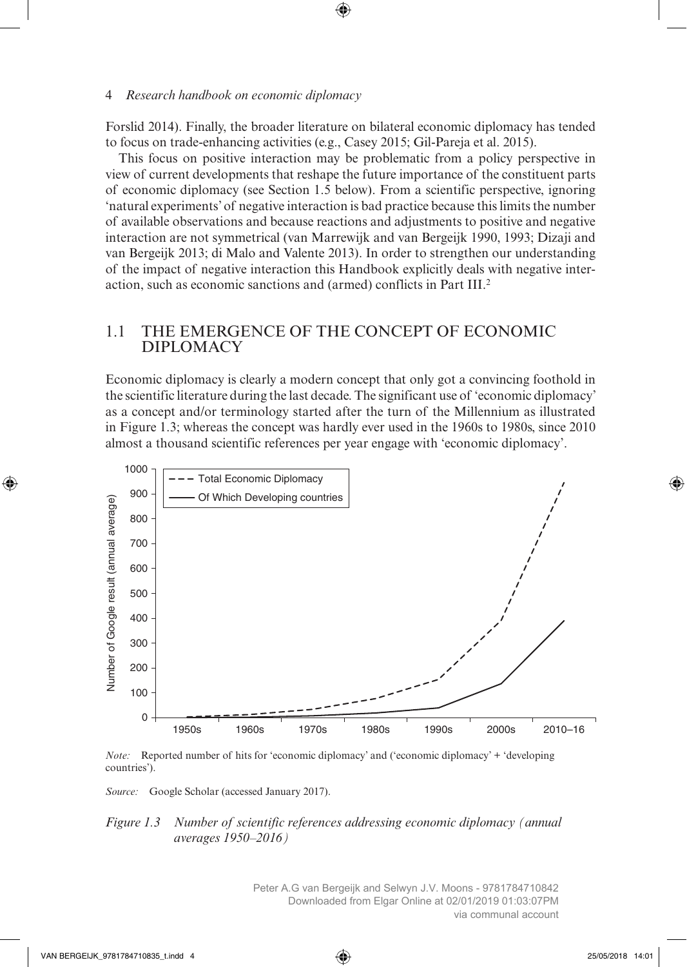Forslid 2014). Finally, the broader literature on bilateral economic diplomacy has tended to focus on trade-enhancing activities (e.g., Casey 2015; Gil-Pareja et al. 2015).

This focus on positive interaction may be problematic from a policy perspective in view of current developments that reshape the future importance of the constituent parts of economic diplomacy (see Section 1.5 below). From a scientific perspective, ignoring 'natural experiments' of negative interaction is bad practice because this limits the number of available observations and because reactions and adjustments to positive and negative interaction are not symmetrical (van Marrewijk and van Bergeijk 1990, 1993; Dizaji and van Bergeijk 2013; di Malo and Valente 2013). In order to strengthen our understanding of the impact of negative interaction this Handbook explicitly deals with negative interaction, such as economic sanctions and (armed) conflicts in Part III. 2

# 1.1 THE EMERGENCE OF THE CONCEPT OF ECONOMIC DIPLOMACY

Economic diplomacy is clearly a modern concept that only got a convincing foothold in the scientific literature during the last decade. The significant use of 'economic diplomacy' as a concept and/or terminology started after the turn of the Millennium as illustrated in Figure 1.3; whereas the concept was hardly ever used in the 1960s to 1980s, since 2010 almost a thousand scientific references per year engage with 'economic diplomacy'.



*Note:* Reported number of hits for 'economic diplomacy' and ('economic diplomacy' + 'developing countries').

*Source:* Google Scholar (accessed January 2017).

### *Figure 1.3 Number of scientific references addressing economic diplomacy (annual averages 1950–2016)*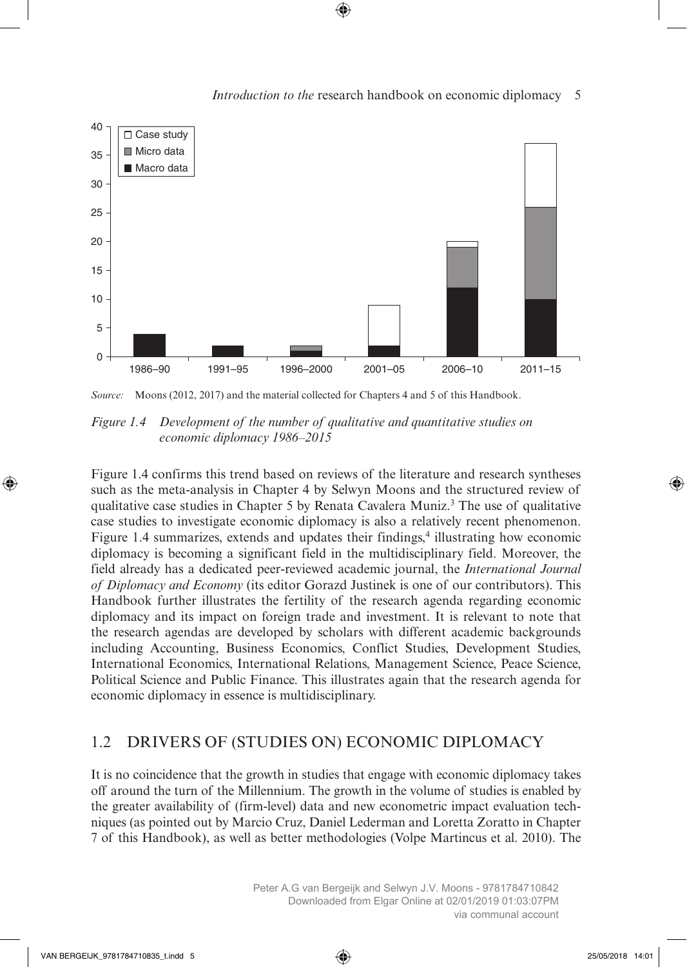

*Source:* Moons (2012, 2017) and the material collected for Chapters 4 and 5 of this Handbook.

*Figure 1.4 Development of the number of qualitative and quantitative studies on economic diplomacy 1986–2015*

Figure 1.4 confirms this trend based on reviews of the literature and research syntheses such as the meta-analysis in Chapter 4 by Selwyn Moons and the structured review of qualitative case studies in Chapter 5 by Renata Cavalera Muniz.<sup>3</sup> The use of qualitative case studies to investigate economic diplomacy is also a relatively recent phenomenon. Figure 1.4 summarizes, extends and updates their findings,<sup>4</sup> illustrating how economic diplomacy is becoming a significant field in the multidisciplinary field. Moreover, the field already has a dedicated peer-reviewed academic journal, the *International Journal of Diplomacy and Economy* (its editor Gorazd Justinek is one of our contributors). This Handbook further illustrates the fertility of the research agenda regarding economic diplomacy and its impact on foreign trade and investment. It is relevant to note that the research agendas are developed by scholars with different academic backgrounds including Accounting, Business Economics, Conflict Studies, Development Studies, International Economics, International Relations, Management Science, Peace Science, Political Science and Public Finance. This illustrates again that the research agenda for economic diplomacy in essence is multidisciplinary.

# 1.2 DRIVERS OF (STUDIES ON) ECONOMIC DIPLOMACY

It is no coincidence that the growth in studies that engage with economic diplomacy takes off around the turn of the Millennium. The growth in the volume of studies is enabled by the greater availability of (firm-level) data and new econometric impact evaluation techniques (as pointed out by Marcio Cruz, Daniel Lederman and Loretta Zoratto in Chapter 7 of this Handbook), as well as better methodologies (Volpe Martincus et al. 2010). The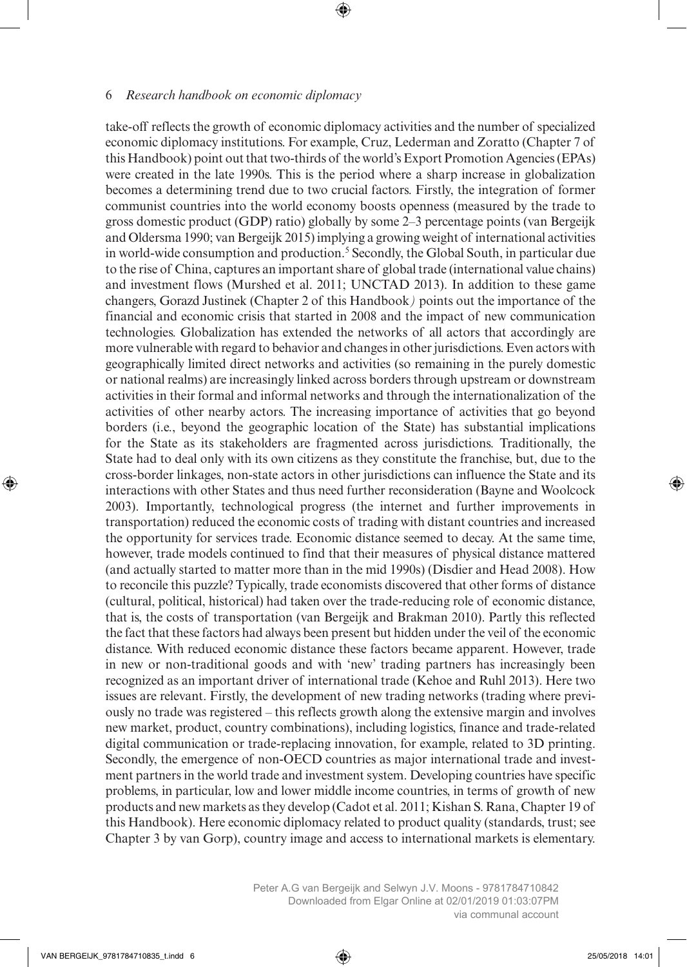take-off reflects the growth of economic diplomacy activities and the number of specialized economic diplomacy institutions. For example, Cruz, Lederman and Zoratto (Chapter 7 of this Handbook) point out that two-thirds of the world's Export Promotion Agencies (EPAs) were created in the late 1990s. This is the period where a sharp increase in globalization becomes a determining trend due to two crucial factors. Firstly, the integration of former communist countries into the world economy boosts openness (measured by the trade to gross domestic product (GDP) ratio) globally by some 2–3 percentage points (van Bergeijk and Oldersma 1990; van Bergeijk 2015) implying a growing weight of international activities in world-wide consumption and production.<sup>5</sup> Secondly, the Global South, in particular due to the rise of China, captures an important share of global trade (international value chains) and investment flows (Murshed et al. 2011; UNCTAD 2013). In addition to these game changers, Gorazd Justinek (Chapter 2 of this Handbook*)* points out the importance of the financial and economic crisis that started in 2008 and the impact of new communication technologies. Globalization has extended the networks of all actors that accordingly are more vulnerable with regard to behavior and changes in other jurisdictions. Even actors with geographically limited direct networks and activities (so remaining in the purely domestic or national realms) are increasingly linked across borders through upstream or downstream activities in their formal and informal networks and through the internationalization of the activities of other nearby actors. The increasing importance of activities that go beyond borders (i.e., beyond the geographic location of the State) has substantial implications for the State as its stakeholders are fragmented across jurisdictions. Traditionally, the State had to deal only with its own citizens as they constitute the franchise, but, due to the cross-border linkages, non-state actors in other jurisdictions can influence the State and its interactions with other States and thus need further reconsideration (Bayne and Woolcock 2003). Importantly, technological progress (the internet and further improvements in transportation) reduced the economic costs of trading with distant countries and increased the opportunity for services trade. Economic distance seemed to decay. At the same time, however, trade models continued to find that their measures of physical distance mattered (and actually started to matter more than in the mid 1990s) (Disdier and Head 2008). How to reconcile this puzzle? Typically, trade economists discovered that other forms of distance (cultural, political, historical) had taken over the trade-reducing role of economic distance, that is, the costs of transportation (van Bergeijk and Brakman 2010). Partly this reflected the fact that these factors had always been present but hidden under the veil of the economic distance. With reduced economic distance these factors became apparent. However, trade in new or non-traditional goods and with 'new' trading partners has increasingly been recognized as an important driver of international trade (Kehoe and Ruhl 2013). Here two issues are relevant. Firstly, the development of new trading networks (trading where previously no trade was registered – this reflects growth along the extensive margin and involves new market, product, country combinations), including logistics, finance and trade-related digital communication or trade-replacing innovation, for example, related to 3D printing. Secondly, the emergence of non-OECD countries as major international trade and investment partners in the world trade and investment system. Developing countries have specific problems, in particular, low and lower middle income countries, in terms of growth of new products and new markets as they develop (Cadot et al. 2011; Kishan S. Rana, Chapter 19 of this Handbook). Here economic diplomacy related to product quality (standards, trust; see Chapter 3 by van Gorp), country image and access to international markets is elementary.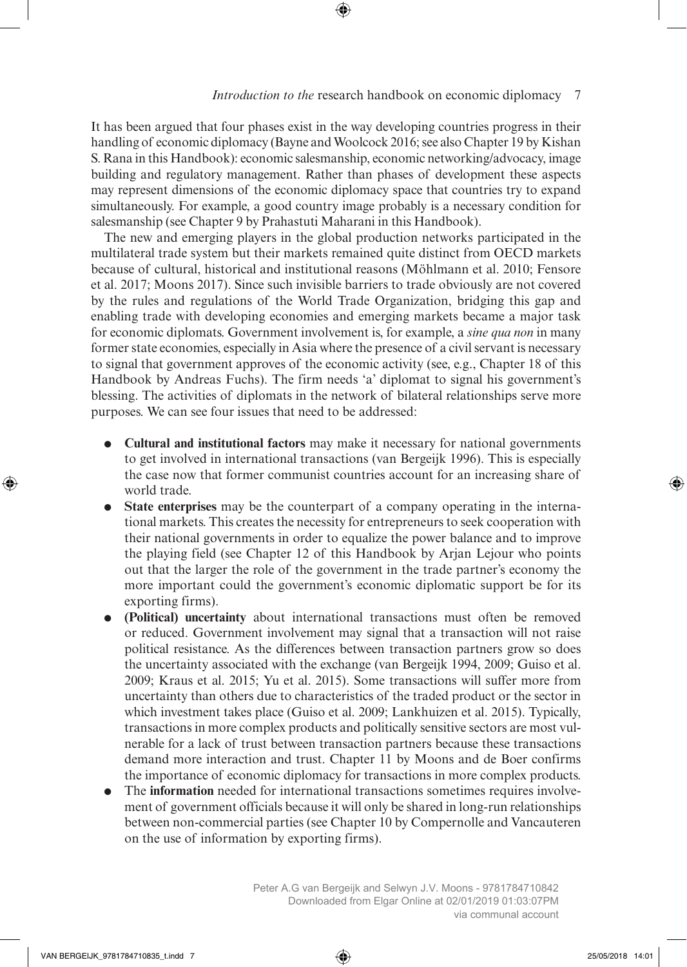It has been argued that four phases exist in the way developing countries progress in their handling of economic diplomacy (Bayne and Woolcock 2016; see also Chapter 19 by Kishan S. Rana in this Handbook): economic salesmanship, economic networking/advocacy, image building and regulatory management. Rather than phases of development these aspects may represent dimensions of the economic diplomacy space that countries try to expand simultaneously. For example, a good country image probably is a necessary condition for salesmanship (see Chapter 9 by Prahastuti Maharani in this Handbook).

The new and emerging players in the global production networks participated in the multilateral trade system but their markets remained quite distinct from OECD markets because of cultural, historical and institutional reasons (Möhlmann et al. 2010; Fensore et al. 2017; Moons 2017). Since such invisible barriers to trade obviously are not covered by the rules and regulations of the World Trade Organization, bridging this gap and enabling trade with developing economies and emerging markets became a major task for economic diplomats. Government involvement is, for example, a *sine qua non* in many former state economies, especially in Asia where the presence of a civil servant is necessary to signal that government approves of the economic activity (see, e.g., Chapter 18 of this Handbook by Andreas Fuchs). The firm needs 'a' diplomat to signal his government's blessing. The activities of diplomats in the network of bilateral relationships serve more purposes. We can see four issues that need to be addressed:

- **Cultural and institutional factors** may make it necessary for national governments to get involved in international transactions (van Bergeijk 1996). This is especially the case now that former communist countries account for an increasing share of world trade.
- **State enterprises** may be the counterpart of a company operating in the international markets. This creates the necessity for entrepreneurs to seek cooperation with their national governments in order to equalize the power balance and to improve the playing field (see Chapter 12 of this Handbook by Arjan Lejour who points out that the larger the role of the government in the trade partner's economy the more important could the government's economic diplomatic support be for its exporting firms).
- **(Political) uncertainty** about international transactions must often be removed or reduced. Government involvement may signal that a transaction will not raise political resistance. As the differences between transaction partners grow so does the uncertainty associated with the exchange (van Bergeijk 1994, 2009; Guiso et al. 2009; Kraus et al. 2015; Yu et al. 2015). Some transactions will suffer more from uncertainty than others due to characteristics of the traded product or the sector in which investment takes place (Guiso et al. 2009; Lankhuizen et al. 2015). Typically, transactions in more complex products and politically sensitive sectors are most vulnerable for a lack of trust between transaction partners because these transactions demand more interaction and trust. Chapter 11 by Moons and de Boer confirms the importance of economic diplomacy for transactions in more complex products.
- The **information** needed for international transactions sometimes requires involvement of government officials because it will only be shared in long-run relationships between non-commercial parties (see Chapter 10 by Compernolle and Vancauteren on the use of information by exporting firms).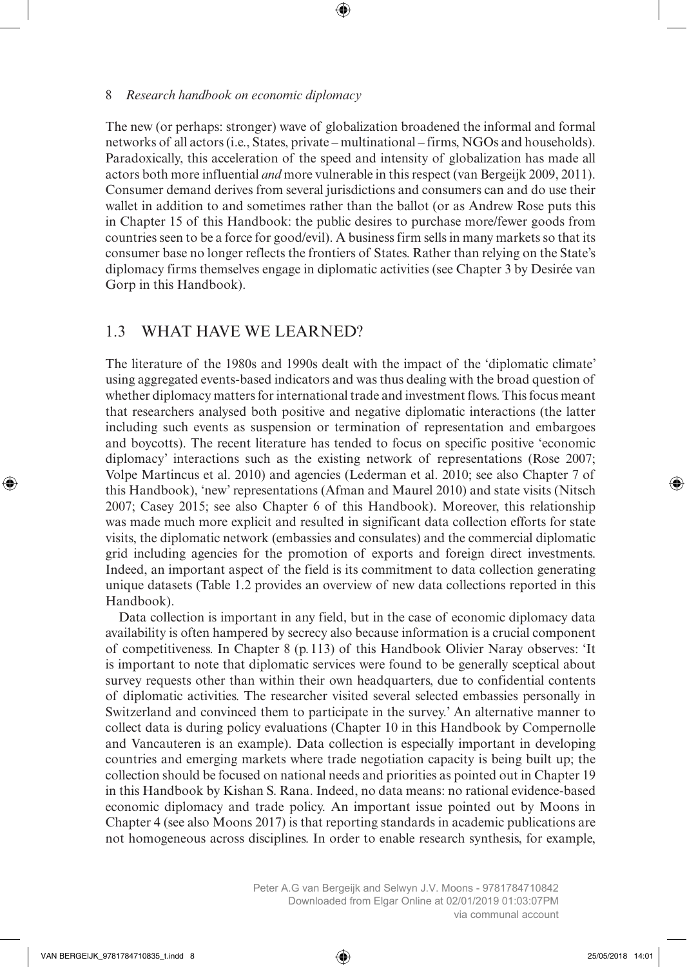### 8 *Research handbook on economic diplomacy*

The new (or perhaps: stronger) wave of globalization broadened the informal and formal networks of all actors (i.e., States, private – multinational – firms, NGOs and households). Paradoxically, this acceleration of the speed and intensity of globalization has made all actors both more influential *and* more vulnerable in this respect (van Bergeijk 2009, 2011). Consumer demand derives from several jurisdictions and consumers can and do use their wallet in addition to and sometimes rather than the ballot (or as Andrew Rose puts this in Chapter 15 of this Handbook: the public desires to purchase more/fewer goods from countries seen to be a force for good/evil). A business firm sells in many markets so that its consumer base no longer reflects the frontiers of States. Rather than relying on the State's diplomacy firms themselves engage in diplomatic activities (see Chapter 3 by Desirée van Gorp in this Handbook).

# 1.3 WHAT HAVE WE LEARNED?

The literature of the 1980s and 1990s dealt with the impact of the 'diplomatic climate' using aggregated events-based indicators and was thus dealing with the broad question of whether diplomacy matters for international trade and investment flows. This focus meant that researchers analysed both positive and negative diplomatic interactions (the latter including such events as suspension or termination of representation and embargoes and boycotts). The recent literature has tended to focus on specific positive 'economic diplomacy' interactions such as the existing network of representations (Rose 2007; Volpe Martincus et al. 2010) and agencies (Lederman et al. 2010; see also Chapter 7 of this Handbook), 'new' representations (Afman and Maurel 2010) and state visits (Nitsch 2007; Casey 2015; see also Chapter 6 of this Handbook). Moreover, this relationship was made much more explicit and resulted in significant data collection efforts for state visits, the diplomatic network (embassies and consulates) and the commercial diplomatic grid including agencies for the promotion of exports and foreign direct investments. Indeed, an important aspect of the field is its commitment to data collection generating unique datasets (Table 1.2 provides an overview of new data collections reported in this Handbook).

Data collection is important in any field, but in the case of economic diplomacy data availability is often hampered by secrecy also because information is a crucial component of competitiveness. In Chapter 8 (p.113) of this Handbook Olivier Naray observes: 'It is important to note that diplomatic services were found to be generally sceptical about survey requests other than within their own headquarters, due to confidential contents of diplomatic activities. The researcher visited several selected embassies personally in Switzerland and convinced them to participate in the survey.' An alternative manner to collect data is during policy evaluations (Chapter 10 in this Handbook by Compernolle and Vancauteren is an example). Data collection is especially important in developing countries and emerging markets where trade negotiation capacity is being built up; the collection should be focused on national needs and priorities as pointed out in Chapter 19 in this Handbook by Kishan S. Rana. Indeed, no data means: no rational evidence-based economic diplomacy and trade policy. An important issue pointed out by Moons in Chapter 4 (see also Moons 2017) is that reporting standards in academic publications are not homogeneous across disciplines. In order to enable research synthesis, for example,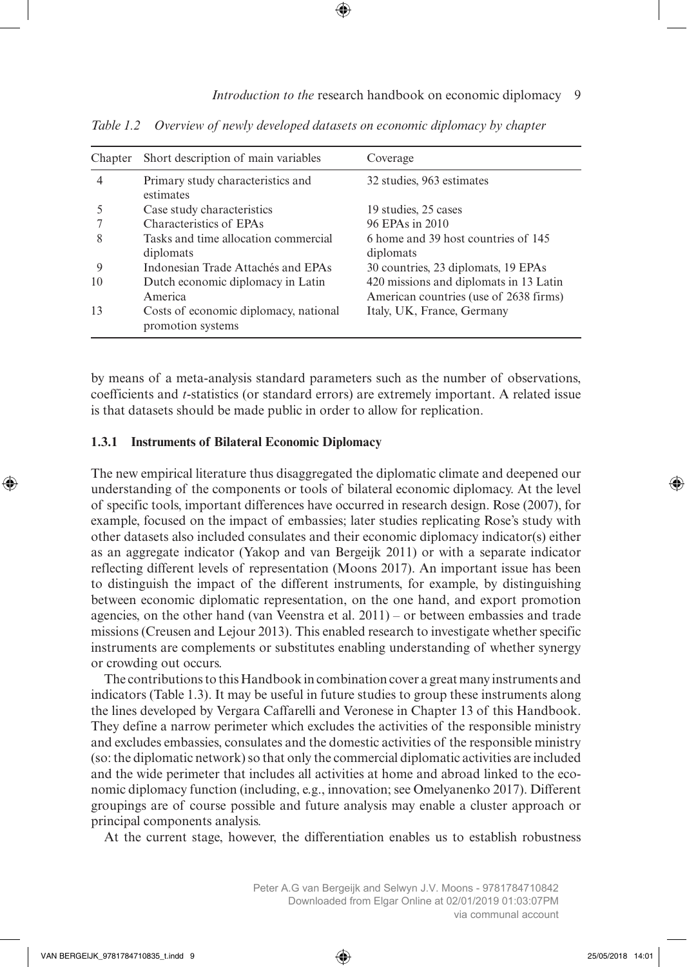| Chapter | Short description of main variables                        | Coverage                                                                         |
|---------|------------------------------------------------------------|----------------------------------------------------------------------------------|
| 4       | Primary study characteristics and<br>estimates             | 32 studies, 963 estimates                                                        |
|         | Case study characteristics                                 | 19 studies, 25 cases                                                             |
|         | Characteristics of EPAs                                    | 96 EPAs in 2010                                                                  |
| 8       | Tasks and time allocation commercial<br>diplomats          | 6 home and 39 host countries of 145<br>diplomats                                 |
| 9       | Indonesian Trade Attachés and EPAs                         | 30 countries, 23 diplomats, 19 EPAs                                              |
| 10      | Dutch economic diplomacy in Latin<br>America               | 420 missions and diplomats in 13 Latin<br>American countries (use of 2638 firms) |
| 13      | Costs of economic diplomacy, national<br>promotion systems | Italy, UK, France, Germany                                                       |

*Table 1.2 Overview of newly developed datasets on economic diplomacy by chapter*

by means of a meta-analysis standard parameters such as the number of observations, coefficients and *t*-statistics (or standard errors) are extremely important. A related issue is that datasets should be made public in order to allow for replication.

### **1.3.1 Instruments of Bilateral Economic Diplomacy**

The new empirical literature thus disaggregated the diplomatic climate and deepened our understanding of the components or tools of bilateral economic diplomacy. At the level of specific tools, important differences have occurred in research design. Rose (2007), for example, focused on the impact of embassies; later studies replicating Rose's study with other datasets also included consulates and their economic diplomacy indicator(s) either as an aggregate indicator (Yakop and van Bergeijk 2011) or with a separate indicator reflecting different levels of representation (Moons 2017). An important issue has been to distinguish the impact of the different instruments, for example, by distinguishing between economic diplomatic representation, on the one hand, and export promotion agencies, on the other hand (van Veenstra et al.  $2011$ ) – or between embassies and trade missions (Creusen and Lejour 2013). This enabled research to investigate whether specific instruments are complements or substitutes enabling understanding of whether synergy or crowding out occurs.

The contributions to this Handbook in combination cover a great many instruments and indicators (Table 1.3). It may be useful in future studies to group these instruments along the lines developed by Vergara Caffarelli and Veronese in Chapter 13 of this Handbook. They define a narrow perimeter which excludes the activities of the responsible ministry and excludes embassies, consulates and the domestic activities of the responsible ministry (so: the diplomatic network) so that only the commercial diplomatic activities are included and the wide perimeter that includes all activities at home and abroad linked to the economic diplomacy function (including, e.g., innovation; see Omelyanenko 2017). Different groupings are of course possible and future analysis may enable a cluster approach or principal components analysis.

At the current stage, however, the differentiation enables us to establish robustness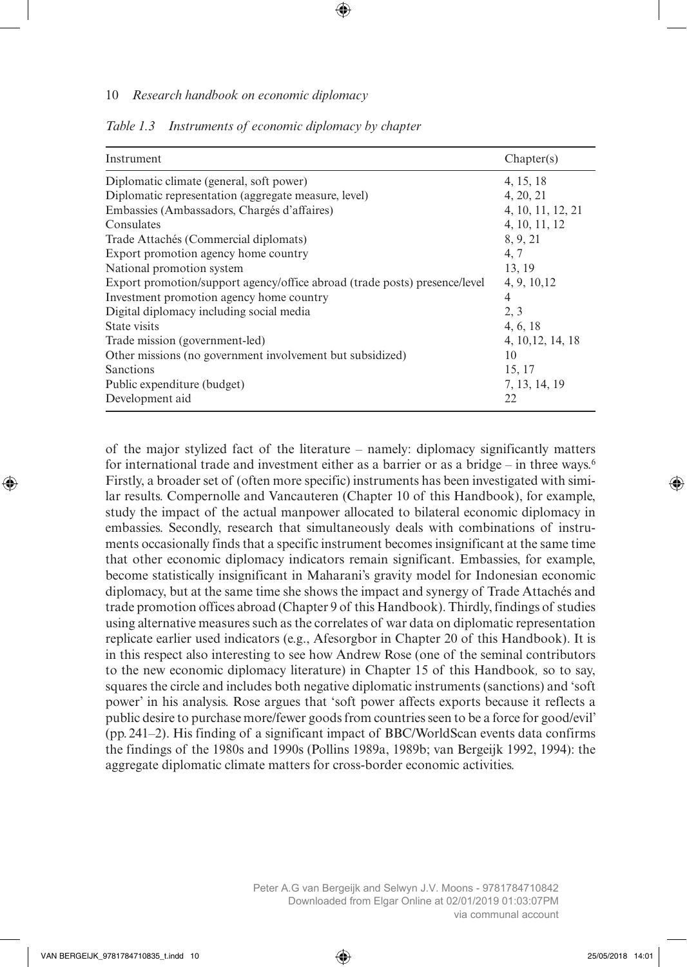### 10 *Research handbook on economic diplomacy*

| Instrument                                                                 | Chapter(s)        |
|----------------------------------------------------------------------------|-------------------|
| Diplomatic climate (general, soft power)                                   | 4, 15, 18         |
| Diplomatic representation (aggregate measure, level)                       | 4, 20, 21         |
| Embassies (Ambassadors, Chargés d'affaires)                                | 4, 10, 11, 12, 21 |
| Consulates                                                                 | 4, 10, 11, 12     |
| Trade Attachés (Commercial diplomats)                                      | 8, 9, 21          |
| Export promotion agency home country                                       | 4,7               |
| National promotion system                                                  | 13, 19            |
| Export promotion/support agency/office abroad (trade posts) presence/level | 4, 9, 10, 12      |
| Investment promotion agency home country                                   | 4                 |
| Digital diplomacy including social media                                   | 2, 3              |
| State visits                                                               | 4, 6, 18          |
| Trade mission (government-led)                                             | 4, 10, 12, 14, 18 |
| Other missions (no government involvement but subsidized)                  | 10                |
| <b>Sanctions</b>                                                           | 15, 17            |
| Public expenditure (budget)                                                | 7, 13, 14, 19     |
| Development aid                                                            | 22                |

*Table 1.3 Instruments of economic diplomacy by chapter*

of the major stylized fact of the literature – namely: diplomacy significantly matters for international trade and investment either as a barrier or as a bridge – in three ways.<sup>6</sup> Firstly, a broader set of (often more specific) instruments has been investigated with similar results. Compernolle and Vancauteren (Chapter 10 of this Handbook), for example, study the impact of the actual manpower allocated to bilateral economic diplomacy in embassies. Secondly, research that simultaneously deals with combinations of instruments occasionally finds that a specific instrument becomes insignificant at the same time that other economic diplomacy indicators remain significant. Embassies, for example, become statistically insignificant in Maharani's gravity model for Indonesian economic diplomacy, but at the same time she shows the impact and synergy of Trade Attachés and trade promotion offices abroad (Chapter 9 of this Handbook). Thirdly, findings of studies using alternative measures such as the correlates of war data on diplomatic representation replicate earlier used indicators (e.g., Afesorgbor in Chapter 20 of this Handbook). It is in this respect also interesting to see how Andrew Rose (one of the seminal contributors to the new economic diplomacy literature) in Chapter 15 of this Handbook*,* so to say, squares the circle and includes both negative diplomatic instruments (sanctions) and 'soft power' in his analysis. Rose argues that 'soft power affects exports because it reflects a public desire to purchase more/fewer goods from countries seen to be a force for good/evil' (pp. 241–2). His finding of a significant impact of BBC/WorldScan events data confirms the findings of the 1980s and 1990s (Pollins 1989a, 1989b; van Bergeijk 1992, 1994): the aggregate diplomatic climate matters for cross-border economic activities.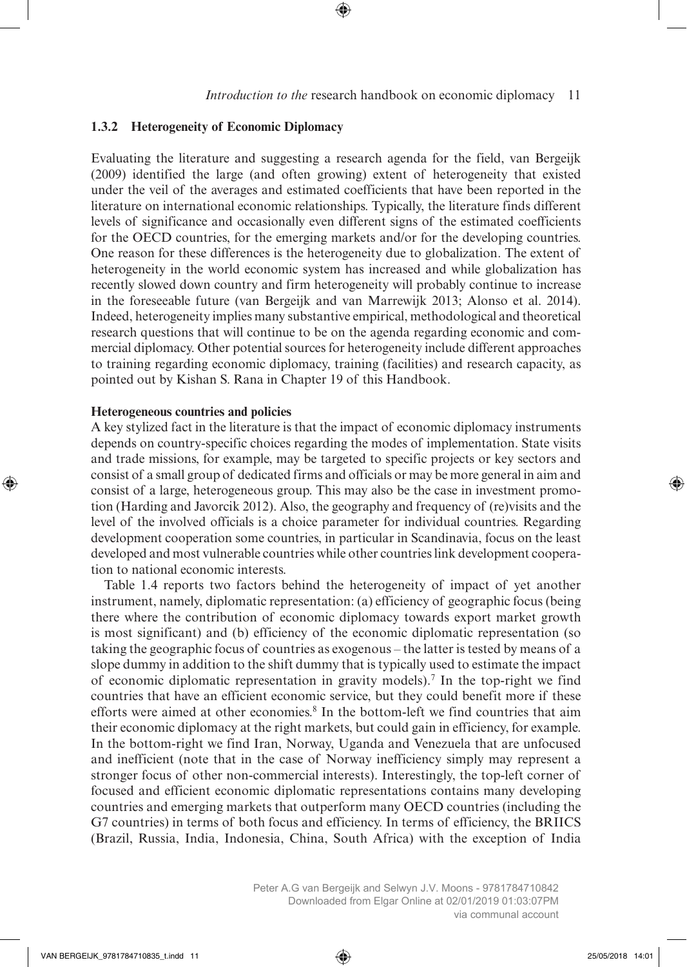### **1.3.2 Heterogeneity of Economic Diplomacy**

Evaluating the literature and suggesting a research agenda for the field, van Bergeijk (2009) identified the large (and often growing) extent of heterogeneity that existed under the veil of the averages and estimated coefficients that have been reported in the literature on international economic relationships. Typically, the literature finds different levels of significance and occasionally even different signs of the estimated coefficients for the OECD countries, for the emerging markets and/or for the developing countries. One reason for these differences is the heterogeneity due to globalization. The extent of heterogeneity in the world economic system has increased and while globalization has recently slowed down country and firm heterogeneity will probably continue to increase in the foreseeable future (van Bergeijk and van Marrewijk 2013; Alonso et al. 2014). Indeed, heterogeneity implies many substantive empirical, methodological and theoretical research questions that will continue to be on the agenda regarding economic and commercial diplomacy. Other potential sources for heterogeneity include different approaches to training regarding economic diplomacy, training (facilities) and research capacity, as pointed out by Kishan S. Rana in Chapter 19 of this Handbook.

### **Heterogeneous countries and policies**

A key stylized fact in the literature is that the impact of economic diplomacy instruments depends on country-specific choices regarding the modes of implementation. State visits and trade missions, for example, may be targeted to specific projects or key sectors and consist of a small group of dedicated firms and officials or may be more general in aim and consist of a large, heterogeneous group. This may also be the case in investment promotion (Harding and Javorcik 2012). Also, the geography and frequency of (re)visits and the level of the involved officials is a choice parameter for individual countries. Regarding development cooperation some countries, in particular in Scandinavia, focus on the least developed and most vulnerable countries while other countries link development cooperation to national economic interests.

Table 1.4 reports two factors behind the heterogeneity of impact of yet another instrument, namely, diplomatic representation: (a) efficiency of geographic focus (being there where the contribution of economic diplomacy towards export market growth is most significant) and (b) efficiency of the economic diplomatic representation (so taking the geographic focus of countries as exogenous – the latter is tested by means of a slope dummy in addition to the shift dummy that is typically used to estimate the impact of economic diplomatic representation in gravity models).7 In the top-right we find countries that have an efficient economic service, but they could benefit more if these efforts were aimed at other economies.8 In the bottom-left we find countries that aim their economic diplomacy at the right markets, but could gain in efficiency, for example. In the bottom-right we find Iran, Norway, Uganda and Venezuela that are unfocused and inefficient (note that in the case of Norway inefficiency simply may represent a stronger focus of other non-commercial interests). Interestingly, the top-left corner of focused and efficient economic diplomatic representations contains many developing countries and emerging markets that outperform many OECD countries (including the G7 countries) in terms of both focus and efficiency. In terms of efficiency, the BRIICS (Brazil, Russia, India, Indonesia, China, South Africa) with the exception of India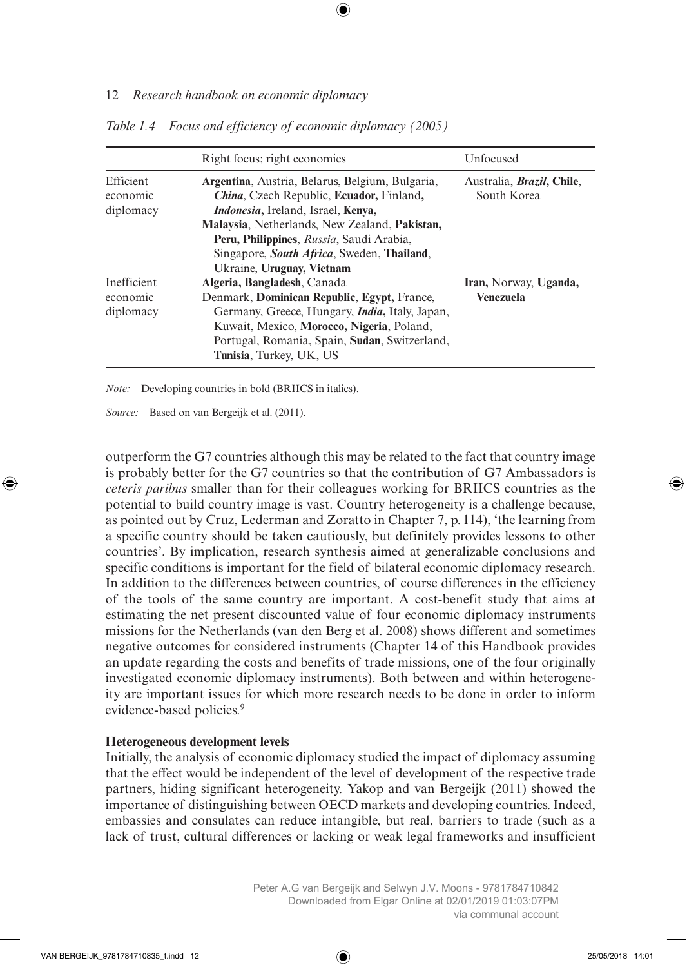|                       | Right focus; right economies                                                                                | Unfocused                                        |  |
|-----------------------|-------------------------------------------------------------------------------------------------------------|--------------------------------------------------|--|
| Efficient<br>economic | Argentina, Austria, Belarus, Belgium, Bulgaria,<br><i>China</i> , Czech Republic, <b>Ecuador</b> , Finland, | Australia, <i>Brazil</i> , Chile,<br>South Korea |  |
| diplomacy             | <i>Indonesia</i> , Ireland, Israel, Kenya,                                                                  |                                                  |  |
|                       | Malaysia, Netherlands, New Zealand, Pakistan,                                                               |                                                  |  |
|                       | Peru, Philippines, Russia, Saudi Arabia,                                                                    |                                                  |  |
|                       | Singapore, South Africa, Sweden, Thailand,                                                                  |                                                  |  |
|                       | Ukraine, Uruguay, Vietnam                                                                                   |                                                  |  |
| Inefficient           | Algeria, Bangladesh, Canada                                                                                 | Iran, Norway, Uganda,                            |  |
| economic              | Denmark, Dominican Republic, Egypt, France,                                                                 | <b>Venezuela</b>                                 |  |
| diplomacy             | Germany, Greece, Hungary, India, Italy, Japan,                                                              |                                                  |  |
|                       | Kuwait, Mexico, Morocco, Nigeria, Poland,                                                                   |                                                  |  |
|                       | Portugal, Romania, Spain, Sudan, Switzerland,                                                               |                                                  |  |
|                       | Tunisia, Turkey, UK, US                                                                                     |                                                  |  |

*Table 1.4 Focus and efficiency of economic diplomacy (2005)*

*Note:* Developing countries in bold (BRIICS in italics).

*Source:* Based on van Bergeijk et al. (2011).

outperform the G7 countries although this may be related to the fact that country image is probably better for the G7 countries so that the contribution of G7 Ambassadors is *ceteris paribus* smaller than for their colleagues working for BRIICS countries as the potential to build country image is vast. Country heterogeneity is a challenge because, as pointed out by Cruz, Lederman and Zoratto in Chapter 7, p. 114), 'the learning from a specific country should be taken cautiously, but definitely provides lessons to other countries'. By implication, research synthesis aimed at generalizable conclusions and specific conditions is important for the field of bilateral economic diplomacy research. In addition to the differences between countries, of course differences in the efficiency of the tools of the same country are important. A cost-benefit study that aims at estimating the net present discounted value of four economic diplomacy instruments missions for the Netherlands (van den Berg et al. 2008) shows different and sometimes negative outcomes for considered instruments (Chapter 14 of this Handbook provides an update regarding the costs and benefits of trade missions, one of the four originally investigated economic diplomacy instruments). Both between and within heterogeneity are important issues for which more research needs to be done in order to inform evidence-based policies.<sup>9</sup>

### **Heterogeneous development levels**

Initially, the analysis of economic diplomacy studied the impact of diplomacy assuming that the effect would be independent of the level of development of the respective trade partners, hiding significant heterogeneity. Yakop and van Bergeijk (2011) showed the importance of distinguishing between OECD markets and developing countries. Indeed, embassies and consulates can reduce intangible, but real, barriers to trade (such as a lack of trust, cultural differences or lacking or weak legal frameworks and insufficient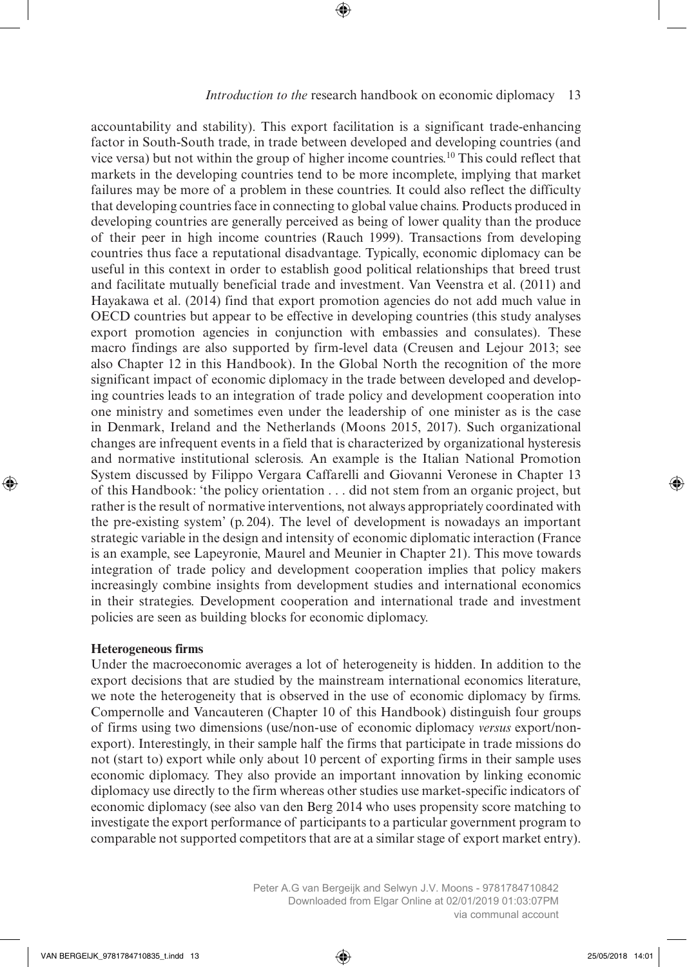accountability and stability). This export facilitation is a significant trade-enhancing factor in South-South trade, in trade between developed and developing countries (and vice versa) but not within the group of higher income countries.10 This could reflect that markets in the developing countries tend to be more incomplete, implying that market failures may be more of a problem in these countries. It could also reflect the difficulty that developing countries face in connecting to global value chains. Products produced in developing countries are generally perceived as being of lower quality than the produce of their peer in high income countries (Rauch 1999). Transactions from developing countries thus face a reputational disadvantage. Typically, economic diplomacy can be useful in this context in order to establish good political relationships that breed trust and facilitate mutually beneficial trade and investment. Van Veenstra et al. (2011) and Hayakawa et al. (2014) find that export promotion agencies do not add much value in OECD countries but appear to be effective in developing countries (this study analyses export promotion agencies in conjunction with embassies and consulates). These macro findings are also supported by firm-level data (Creusen and Lejour 2013; see also Chapter 12 in this Handbook). In the Global North the recognition of the more significant impact of economic diplomacy in the trade between developed and developing countries leads to an integration of trade policy and development cooperation into one ministry and sometimes even under the leadership of one minister as is the case in Denmark, Ireland and the Netherlands (Moons 2015, 2017). Such organizational changes are infrequent events in a field that is characterized by organizational hysteresis and normative institutional sclerosis. An example is the Italian National Promotion System discussed by Filippo Vergara Caffarelli and Giovanni Veronese in Chapter 13 of this Handbook: 'the policy orientation . . . did not stem from an organic project, but rather is the result of normative interventions, not always appropriately coordinated with the pre-existing system' (p. 204). The level of development is nowadays an important strategic variable in the design and intensity of economic diplomatic interaction (France is an example, see Lapeyronie, Maurel and Meunier in Chapter 21). This move towards integration of trade policy and development cooperation implies that policy makers increasingly combine insights from development studies and international economics in their strategies. Development cooperation and international trade and investment policies are seen as building blocks for economic diplomacy.

#### **Heterogeneous firms**

Under the macroeconomic averages a lot of heterogeneity is hidden. In addition to the export decisions that are studied by the mainstream international economics literature, we note the heterogeneity that is observed in the use of economic diplomacy by firms. Compernolle and Vancauteren (Chapter 10 of this Handbook) distinguish four groups of firms using two dimensions (use/non-use of economic diplomacy *versus* export/nonexport). Interestingly, in their sample half the firms that participate in trade missions do not (start to) export while only about 10 percent of exporting firms in their sample uses economic diplomacy. They also provide an important innovation by linking economic diplomacy use directly to the firm whereas other studies use market-specific indicators of economic diplomacy (see also van den Berg 2014 who uses propensity score matching to investigate the export performance of participants to a particular government program to comparable not supported competitors that are at a similar stage of export market entry).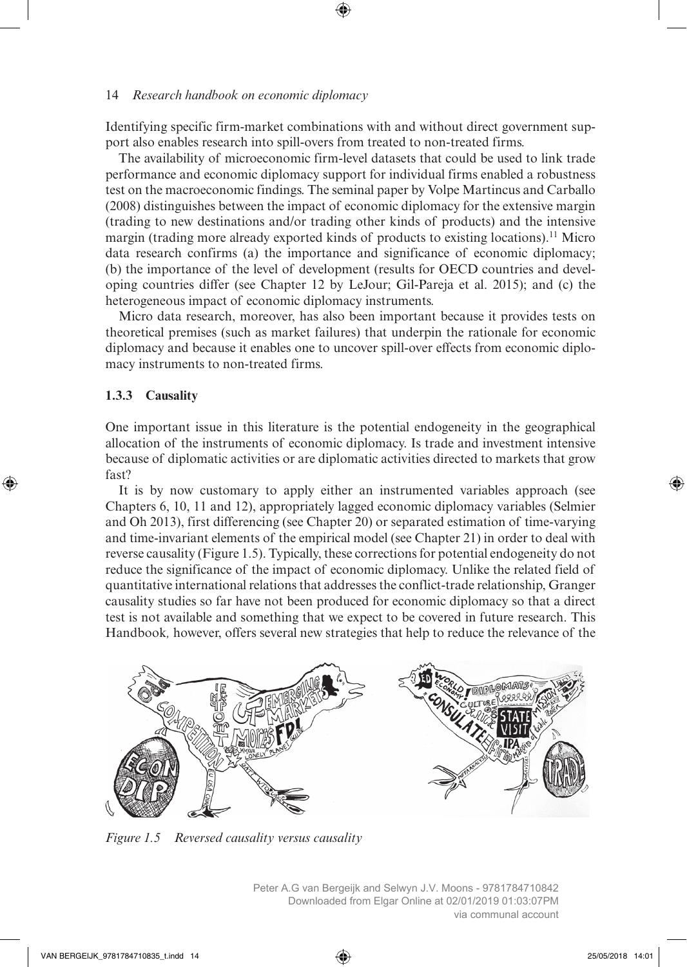Identifying specific firm-market combinations with and without direct government support also enables research into spill-overs from treated to non-treated firms.

The availability of microeconomic firm-level datasets that could be used to link trade performance and economic diplomacy support for individual firms enabled a robustness test on the macroeconomic findings. The seminal paper by Volpe Martincus and Carballo (2008) distinguishes between the impact of economic diplomacy for the extensive margin (trading to new destinations and/or trading other kinds of products) and the intensive margin (trading more already exported kinds of products to existing locations).11 Micro data research confirms (a) the importance and significance of economic diplomacy; (b) the importance of the level of development (results for OECD countries and developing countries differ (see Chapter 12 by LeJour; Gil-Pareja et al. 2015); and (c) the heterogeneous impact of economic diplomacy instruments.

Micro data research, moreover, has also been important because it provides tests on theoretical premises (such as market failures) that underpin the rationale for economic diplomacy and because it enables one to uncover spill-over effects from economic diplomacy instruments to non-treated firms.

### **1.3.3 Causality**

One important issue in this literature is the potential endogeneity in the geographical allocation of the instruments of economic diplomacy. Is trade and investment intensive because of diplomatic activities or are diplomatic activities directed to markets that grow fast?

It is by now customary to apply either an instrumented variables approach (see Chapters 6, 10, 11 and 12), appropriately lagged economic diplomacy variables (Selmier and Oh 2013), first differencing (see Chapter 20) or separated estimation of time-varying and time-invariant elements of the empirical model (see Chapter 21) in order to deal with reverse causality (Figure 1.5). Typically, these corrections for potential endogeneity do not reduce the significance of the impact of economic diplomacy. Unlike the related field of quantitative international relations that addresses the conflict-trade relationship, Granger causality studies so far have not been produced for economic diplomacy so that a direct test is not available and something that we expect to be covered in future research. This Handbook*,* however, offers several new strategies that help to reduce the relevance of the



*Figure 1.5 Reversed causality versus causality*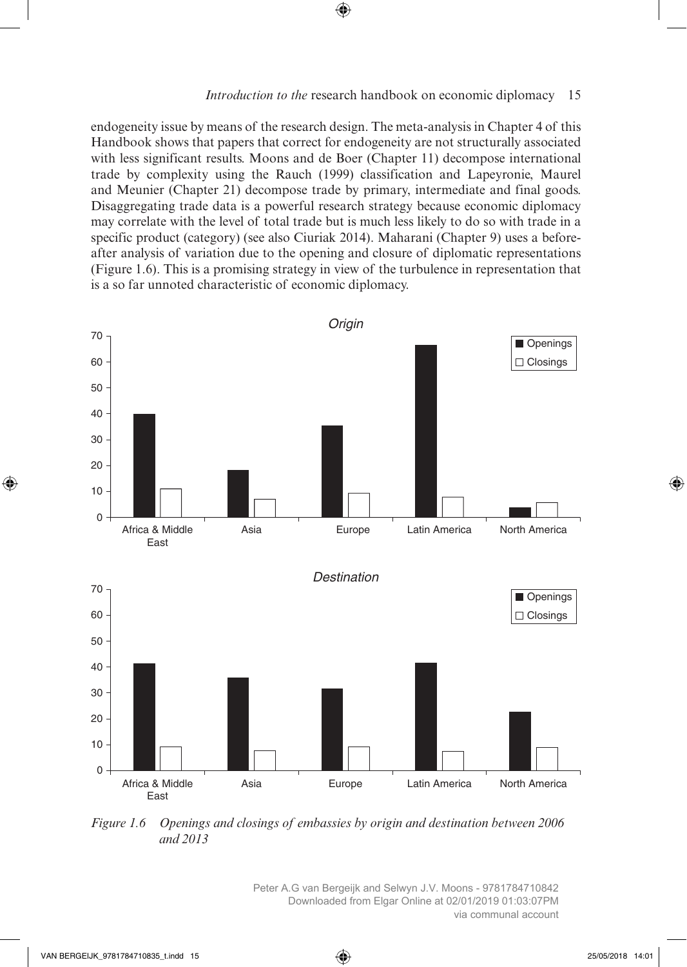endogeneity issue by means of the research design. The meta-analysis in Chapter 4 of this Handbook shows that papers that correct for endogeneity are not structurally associated with less significant results. Moons and de Boer (Chapter 11) decompose international trade by complexity using the Rauch (1999) classification and Lapeyronie, Maurel and Meunier (Chapter 21) decompose trade by primary, intermediate and final goods. Disaggregating trade data is a powerful research strategy because economic diplomacy may correlate with the level of total trade but is much less likely to do so with trade in a specific product (category) (see also Ciuriak 2014). Maharani (Chapter 9) uses a beforeafter analysis of variation due to the opening and closure of diplomatic representations (Figure 1.6). This is a promising strategy in view of the turbulence in representation that is a so far unnoted characteristic of economic diplomacy.



*Figure 1.6 Openings and closings of embassies by origin and destination between 2006 and 2013*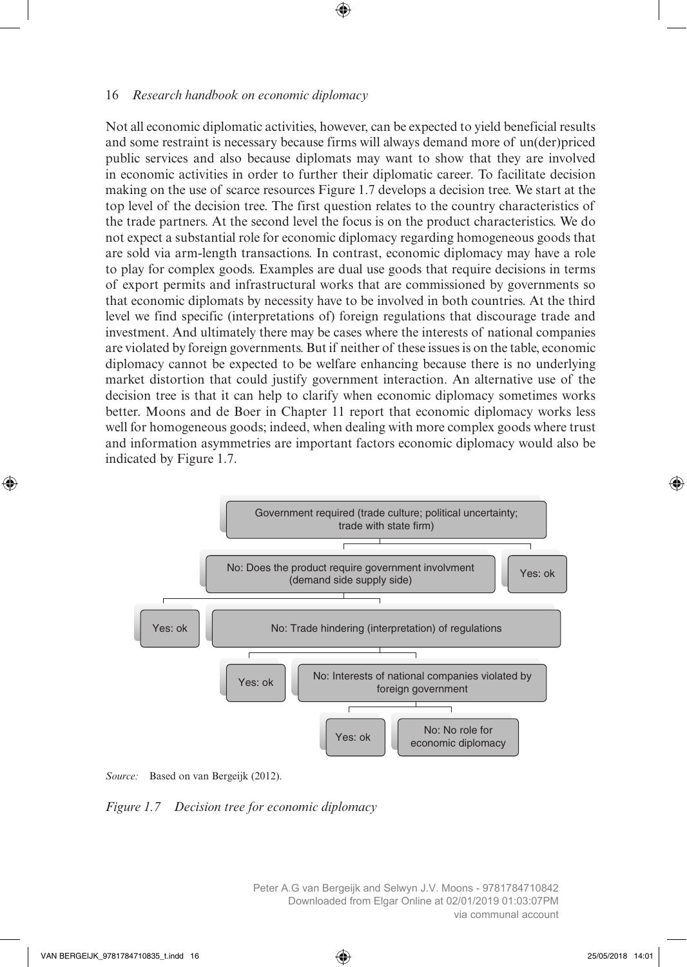### 16 *Research handbook on economic diplomacy*

Not all economic diplomatic activities, however, can be expected to yield beneficial results and some restraint is necessary because firms will always demand more of un(der)priced public services and also because diplomats may want to show that they are involved in economic activities in order to further their diplomatic career. To facilitate decision making on the use of scarce resources Figure 1.7 develops a decision tree. We start at the top level of the decision tree. The first question relates to the country characteristics of the trade partners. At the second level the focus is on the product characteristics. We do not expect a substantial role for economic diplomacy regarding homogeneous goods that are sold via arm-length transactions. In contrast, economic diplomacy may have a role to play for complex goods. Examples are dual use goods that require decisions in terms of export permits and infrastructural works that are commissioned by governments so that economic diplomats by necessity have to be involved in both countries. At the third level we find specific (interpretations of) foreign regulations that discourage trade and investment. And ultimately there may be cases where the interests of national companies are violated by foreign governments. But if neither of these issues is on the table, economic diplomacy cannot be expected to be welfare enhancing because there is no underlying market distortion that could justify government interaction. An alternative use of the decision tree is that it can help to clarify when economic diplomacy sometimes works better. Moons and de Boer in Chapter 11 report that economic diplomacy works less well for homogeneous goods; indeed, when dealing with more complex goods where trust and information asymmetries are important factors economic diplomacy would also be indicated by Figure 1.7.



*Source:* Based on van Bergeijk (2012).

*Figure 1.7 Decision tree for economic diplomacy*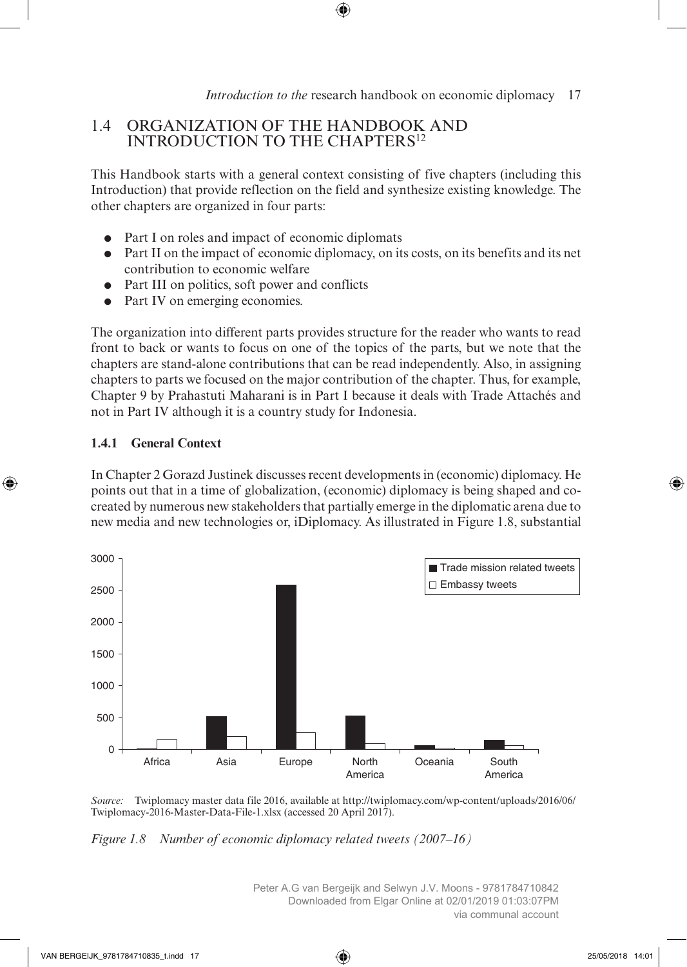# 1.4 ORGANIZATION OF THE HANDBOOK AND INTRODUCTION TO THE CHAPTERS<sup>12</sup>

This Handbook starts with a general context consisting of five chapters (including this Introduction) that provide reflection on the field and synthesize existing knowledge. The other chapters are organized in four parts:

- Part I on roles and impact of economic diplomats
- Part II on the impact of economic diplomacy, on its costs, on its benefits and its net contribution to economic welfare
- Part III on politics, soft power and conflicts
- Part IV on emerging economies.

The organization into different parts provides structure for the reader who wants to read front to back or wants to focus on one of the topics of the parts, but we note that the chapters are stand-alone contributions that can be read independently. Also, in assigning chapters to parts we focused on the major contribution of the chapter. Thus, for example, Chapter 9 by Prahastuti Maharani is in Part I because it deals with Trade Attachés and not in Part IV although it is a country study for Indonesia.

### **1.4.1 General Context**

In Chapter 2 Gorazd Justinek discusses recent developments in (economic) diplomacy. He points out that in a time of globalization, (economic) diplomacy is being shaped and cocreated by numerous new stakeholders that partially emerge in the diplomatic arena due to new media and new technologies or, iDiplomacy. As illustrated in Figure 1.8, substantial



*Source:* Twiplomacy master data file 2016, available at http://twiplomacy.com/wp-content/uploads/2016/06/ Twiplomacy-2016-Master-Data-File-1.xlsx (accessed 20 April 2017).

*Figure 1.8 Number of economic diplomacy related tweets (2007–16)*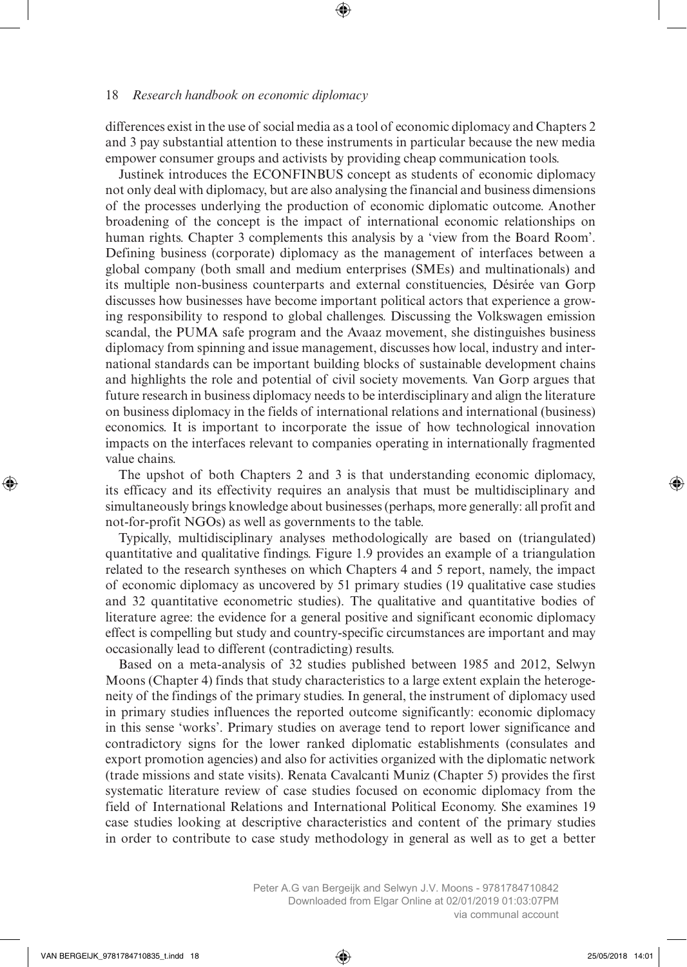differences exist in the use of social media as a tool of economic diplomacy and Chapters 2 and 3 pay substantial attention to these instruments in particular because the new media empower consumer groups and activists by providing cheap communication tools.

Justinek introduces the ECONFINBUS concept as students of economic diplomacy not only deal with diplomacy, but are also analysing the financial and business dimensions of the processes underlying the production of economic diplomatic outcome. Another broadening of the concept is the impact of international economic relationships on human rights. Chapter 3 complements this analysis by a 'view from the Board Room'. Defining business (corporate) diplomacy as the management of interfaces between a global company (both small and medium enterprises (SMEs) and multinationals) and its multiple non-business counterparts and external constituencies, Désirée van Gorp discusses how businesses have become important political actors that experience a growing responsibility to respond to global challenges. Discussing the Volkswagen emission scandal, the PUMA safe program and the Avaaz movement, she distinguishes business diplomacy from spinning and issue management, discusses how local, industry and international standards can be important building blocks of sustainable development chains and highlights the role and potential of civil society movements. Van Gorp argues that future research in business diplomacy needs to be interdisciplinary and align the literature on business diplomacy in the fields of international relations and international (business) economics. It is important to incorporate the issue of how technological innovation impacts on the interfaces relevant to companies operating in internationally fragmented value chains.

The upshot of both Chapters 2 and 3 is that understanding economic diplomacy, its efficacy and its effectivity requires an analysis that must be multidisciplinary and simultaneously brings knowledge about businesses (perhaps, more generally: all profit and not-for-profit NGOs) as well as governments to the table.

Typically, multidisciplinary analyses methodologically are based on (triangulated) quantitative and qualitative findings. Figure 1.9 provides an example of a triangulation related to the research syntheses on which Chapters 4 and 5 report, namely, the impact of economic diplomacy as uncovered by 51 primary studies (19 qualitative case studies and 32 quantitative econometric studies). The qualitative and quantitative bodies of literature agree: the evidence for a general positive and significant economic diplomacy effect is compelling but study and country-specific circumstances are important and may occasionally lead to different (contradicting) results.

Based on a meta-analysis of 32 studies published between 1985 and 2012, Selwyn Moons (Chapter 4) finds that study characteristics to a large extent explain the heterogeneity of the findings of the primary studies. In general, the instrument of diplomacy used in primary studies influences the reported outcome significantly: economic diplomacy in this sense 'works'. Primary studies on average tend to report lower significance and contradictory signs for the lower ranked diplomatic establishments (consulates and export promotion agencies) and also for activities organized with the diplomatic network (trade missions and state visits). Renata Cavalcanti Muniz (Chapter 5) provides the first systematic literature review of case studies focused on economic diplomacy from the field of International Relations and International Political Economy. She examines 19 case studies looking at descriptive characteristics and content of the primary studies in order to contribute to case study methodology in general as well as to get a better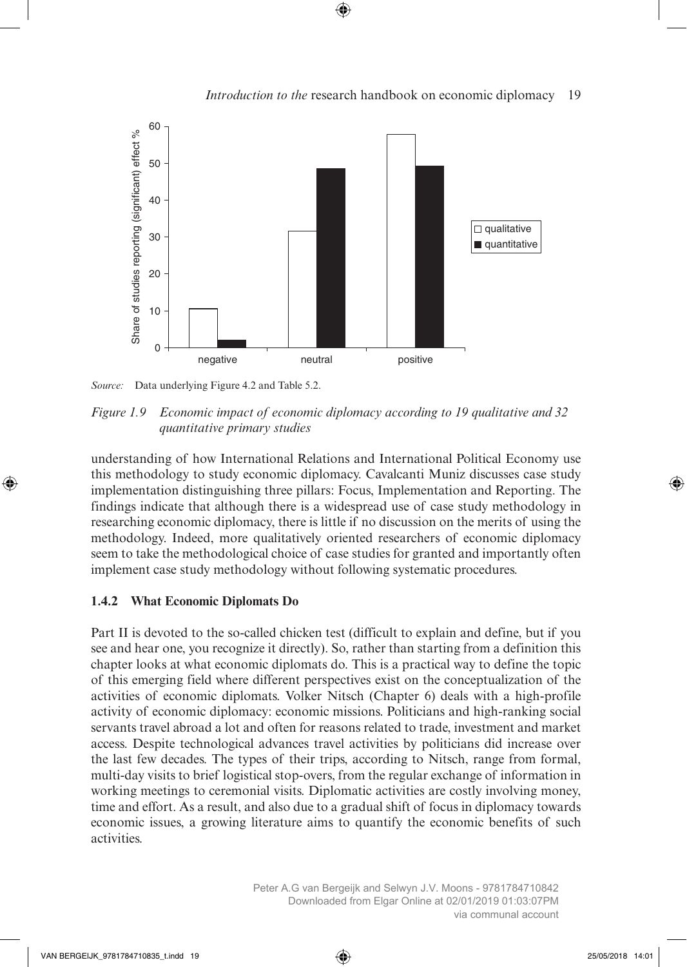

*Source:* Data underlying Figure 4.2 and Table 5.2.

*Figure 1.9 Economic impact of economic diplomacy according to 19 qualitative and 32 quantitative primary studies*

understanding of how International Relations and International Political Economy use this methodology to study economic diplomacy. Cavalcanti Muniz discusses case study implementation distinguishing three pillars: Focus, Implementation and Reporting. The findings indicate that although there is a widespread use of case study methodology in researching economic diplomacy, there is little if no discussion on the merits of using the methodology. Indeed, more qualitatively oriented researchers of economic diplomacy seem to take the methodological choice of case studies for granted and importantly often implement case study methodology without following systematic procedures.

# **1.4.2 What Economic Diplomats Do**

Part II is devoted to the so-called chicken test (difficult to explain and define, but if you see and hear one, you recognize it directly). So, rather than starting from a definition this chapter looks at what economic diplomats do. This is a practical way to define the topic of this emerging field where different perspectives exist on the conceptualization of the activities of economic diplomats. Volker Nitsch (Chapter 6) deals with a high-profile activity of economic diplomacy: economic missions. Politicians and high-ranking social servants travel abroad a lot and often for reasons related to trade, investment and market access. Despite technological advances travel activities by politicians did increase over the last few decades. The types of their trips, according to Nitsch, range from formal, multi-day visits to brief logistical stop-overs, from the regular exchange of information in working meetings to ceremonial visits. Diplomatic activities are costly involving money, time and effort. As a result, and also due to a gradual shift of focus in diplomacy towards economic issues, a growing literature aims to quantify the economic benefits of such activities.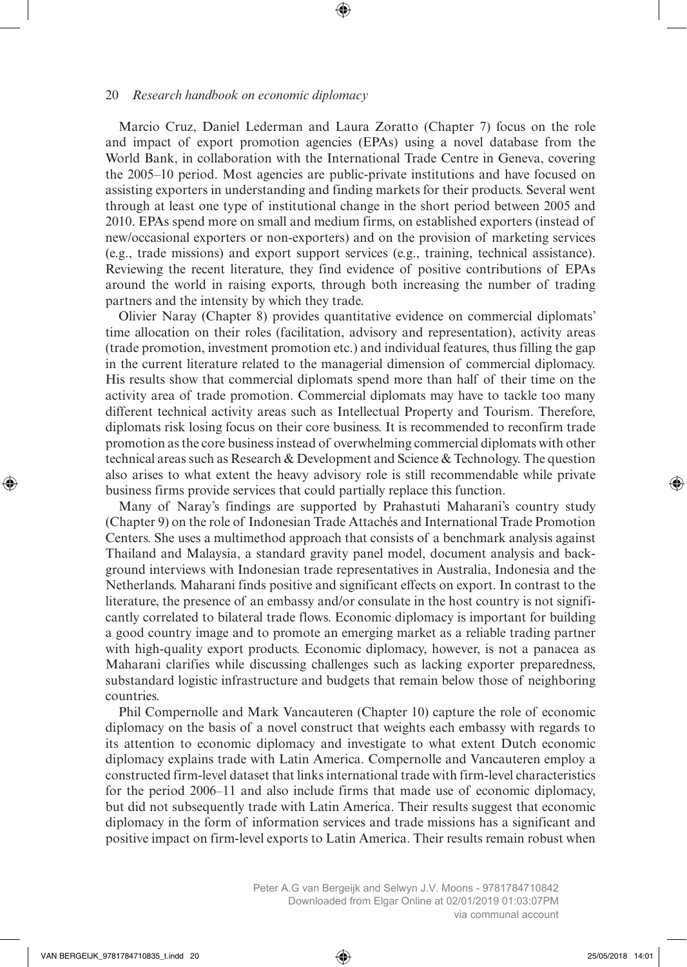Marcio Cruz, Daniel Lederman and Laura Zoratto (Chapter 7) focus on the role and impact of export promotion agencies (EPAs) using a novel database from the World Bank, in collaboration with the International Trade Centre in Geneva, covering the 2005–10 period. Most agencies are public-private institutions and have focused on assisting exporters in understanding and finding markets for their products. Several went through at least one type of institutional change in the short period between 2005 and 2010. EPAs spend more on small and medium firms, on established exporters (instead of new/occasional exporters or non-exporters) and on the provision of marketing services (e.g., trade missions) and export support services (e.g., training, technical assistance). Reviewing the recent literature, they find evidence of positive contributions of EPAs around the world in raising exports, through both increasing the number of trading partners and the intensity by which they trade.

Olivier Naray (Chapter 8) provides quantitative evidence on commercial diplomats' time allocation on their roles (facilitation, advisory and representation), activity areas (trade promotion, investment promotion etc.) and individual features, thus filling the gap in the current literature related to the managerial dimension of commercial diplomacy. His results show that commercial diplomats spend more than half of their time on the activity area of trade promotion. Commercial diplomats may have to tackle too many different technical activity areas such as Intellectual Property and Tourism. Therefore, diplomats risk losing focus on their core business. It is recommended to reconfirm trade promotion as the core business instead of overwhelming commercial diplomats with other technical areas such as Research & Development and Science & Technology. The question also arises to what extent the heavy advisory role is still recommendable while private business firms provide services that could partially replace this function.

Many of Naray's findings are supported by Prahastuti Maharani's country study (Chapter 9) on the role of Indonesian Trade Attachés and International Trade Promotion Centers. She uses a multimethod approach that consists of a benchmark analysis against Thailand and Malaysia, a standard gravity panel model, document analysis and background interviews with Indonesian trade representatives in Australia, Indonesia and the Netherlands. Maharani finds positive and significant effects on export. In contrast to the literature, the presence of an embassy and/or consulate in the host country is not significantly correlated to bilateral trade flows. Economic diplomacy is important for building a good country image and to promote an emerging market as a reliable trading partner with high-quality export products. Economic diplomacy, however, is not a panacea as Maharani clarifies while discussing challenges such as lacking exporter preparedness, substandard logistic infrastructure and budgets that remain below those of neighboring countries.

Phil Compernolle and Mark Vancauteren (Chapter 10) capture the role of economic diplomacy on the basis of a novel construct that weights each embassy with regards to its attention to economic diplomacy and investigate to what extent Dutch economic diplomacy explains trade with Latin America. Compernolle and Vancauteren employ a constructed firm-level dataset that links international trade with firm-level characteristics for the period 2006–11 and also include firms that made use of economic diplomacy, but did not subsequently trade with Latin America. Their results suggest that economic diplomacy in the form of information services and trade missions has a significant and positive impact on firm-level exports to Latin America. Their results remain robust when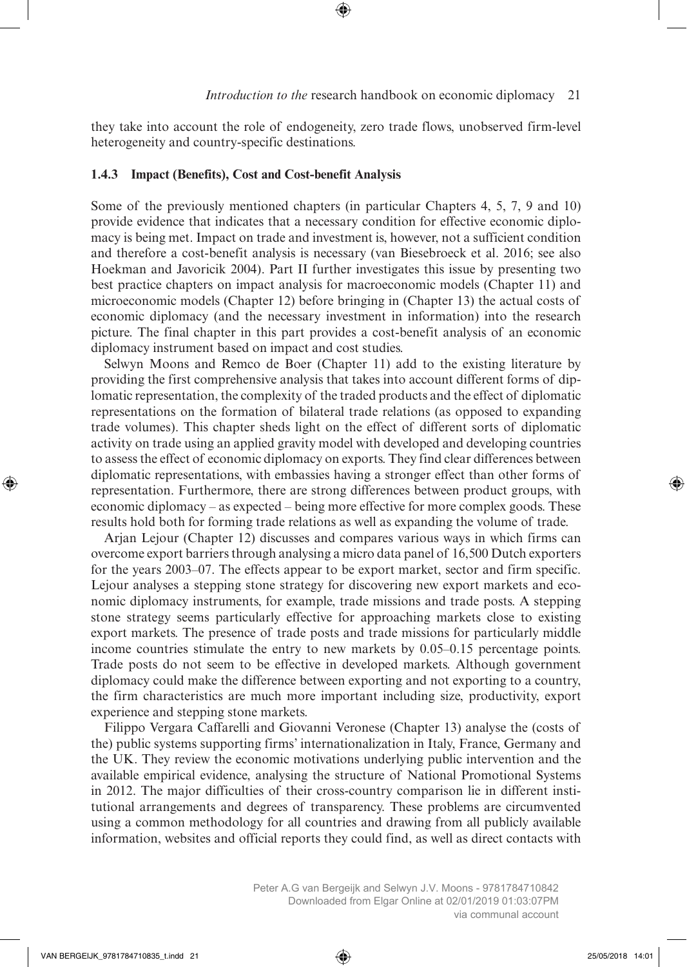they take into account the role of endogeneity, zero trade flows, unobserved firm-level heterogeneity and country-specific destinations.

### **1.4.3 Impact (Benefits), Cost and Cost-benefit Analysis**

Some of the previously mentioned chapters (in particular Chapters 4, 5, 7, 9 and 10) provide evidence that indicates that a necessary condition for effective economic diplomacy is being met. Impact on trade and investment is, however, not a sufficient condition and therefore a cost-benefit analysis is necessary (van Biesebroeck et al. 2016; see also Hoekman and Javoricik 2004). Part II further investigates this issue by presenting two best practice chapters on impact analysis for macroeconomic models (Chapter 11) and microeconomic models (Chapter 12) before bringing in (Chapter 13) the actual costs of economic diplomacy (and the necessary investment in information) into the research picture. The final chapter in this part provides a cost-benefit analysis of an economic diplomacy instrument based on impact and cost studies.

Selwyn Moons and Remco de Boer (Chapter 11) add to the existing literature by providing the first comprehensive analysis that takes into account different forms of diplomatic representation, the complexity of the traded products and the effect of diplomatic representations on the formation of bilateral trade relations (as opposed to expanding trade volumes). This chapter sheds light on the effect of different sorts of diplomatic activity on trade using an applied gravity model with developed and developing countries to assess the effect of economic diplomacy on exports. They find clear differences between diplomatic representations, with embassies having a stronger effect than other forms of representation. Furthermore, there are strong differences between product groups, with economic diplomacy – as expected – being more effective for more complex goods. These results hold both for forming trade relations as well as expanding the volume of trade.

Arjan Lejour (Chapter 12) discusses and compares various ways in which firms can overcome export barriers through analysing a micro data panel of 16,500 Dutch exporters for the years 2003–07. The effects appear to be export market, sector and firm specific. Lejour analyses a stepping stone strategy for discovering new export markets and economic diplomacy instruments, for example, trade missions and trade posts. A stepping stone strategy seems particularly effective for approaching markets close to existing export markets. The presence of trade posts and trade missions for particularly middle income countries stimulate the entry to new markets by 0.05–0.15 percentage points. Trade posts do not seem to be effective in developed markets. Although government diplomacy could make the difference between exporting and not exporting to a country, the firm characteristics are much more important including size, productivity, export experience and stepping stone markets.

Filippo Vergara Caffarelli and Giovanni Veronese (Chapter 13) analyse the (costs of the) public systems supporting firms' internationalization in Italy, France, Germany and the UK. They review the economic motivations underlying public intervention and the available empirical evidence, analysing the structure of National Promotional Systems in 2012. The major difficulties of their cross-country comparison lie in different institutional arrangements and degrees of transparency. These problems are circumvented using a common methodology for all countries and drawing from all publicly available information, websites and official reports they could find, as well as direct contacts with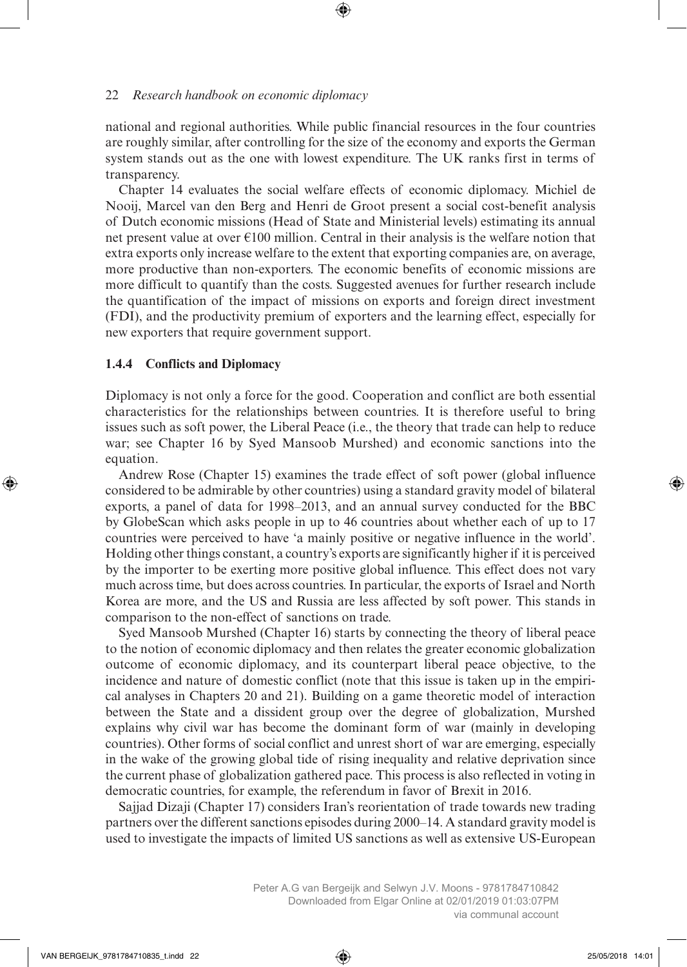national and regional authorities. While public financial resources in the four countries are roughly similar, after controlling for the size of the economy and exports the German system stands out as the one with lowest expenditure. The UK ranks first in terms of transparency.

Chapter 14 evaluates the social welfare effects of economic diplomacy. Michiel de Nooij, Marcel van den Berg and Henri de Groot present a social cost-benefit analysis of Dutch economic missions (Head of State and Ministerial levels) estimating its annual net present value at over €100 million. Central in their analysis is the welfare notion that extra exports only increase welfare to the extent that exporting companies are, on average, more productive than non-exporters. The economic benefits of economic missions are more difficult to quantify than the costs. Suggested avenues for further research include the quantification of the impact of missions on exports and foreign direct investment (FDI), and the productivity premium of exporters and the learning effect, especially for new exporters that require government support.

### **1.4.4 Conflicts and Diplomacy**

Diplomacy is not only a force for the good. Cooperation and conflict are both essential characteristics for the relationships between countries. It is therefore useful to bring issues such as soft power, the Liberal Peace (i.e., the theory that trade can help to reduce war; see Chapter 16 by Syed Mansoob Murshed) and economic sanctions into the equation.

Andrew Rose (Chapter 15) examines the trade effect of soft power (global influence considered to be admirable by other countries) using a standard gravity model of bilateral exports, a panel of data for 1998–2013, and an annual survey conducted for the BBC by GlobeScan which asks people in up to 46 countries about whether each of up to 17 countries were perceived to have 'a mainly positive or negative influence in the world'. Holding other things constant, a country's exports are significantly higher if it is perceived by the importer to be exerting more positive global influence. This effect does not vary much across time, but does across countries. In particular, the exports of Israel and North Korea are more, and the US and Russia are less affected by soft power. This stands in comparison to the non-effect of sanctions on trade.

Syed Mansoob Murshed (Chapter 16) starts by connecting the theory of liberal peace to the notion of economic diplomacy and then relates the greater economic globalization outcome of economic diplomacy, and its counterpart liberal peace objective, to the incidence and nature of domestic conflict (note that this issue is taken up in the empirical analyses in Chapters 20 and 21). Building on a game theoretic model of interaction between the State and a dissident group over the degree of globalization, Murshed explains why civil war has become the dominant form of war (mainly in developing countries). Other forms of social conflict and unrest short of war are emerging, especially in the wake of the growing global tide of rising inequality and relative deprivation since the current phase of globalization gathered pace. This process is also reflected in voting in democratic countries, for example, the referendum in favor of Brexit in 2016.

Sajjad Dizaji (Chapter 17) considers Iran's reorientation of trade towards new trading partners over the different sanctions episodes during 2000–14. A standard gravity model is used to investigate the impacts of limited US sanctions as well as extensive US-European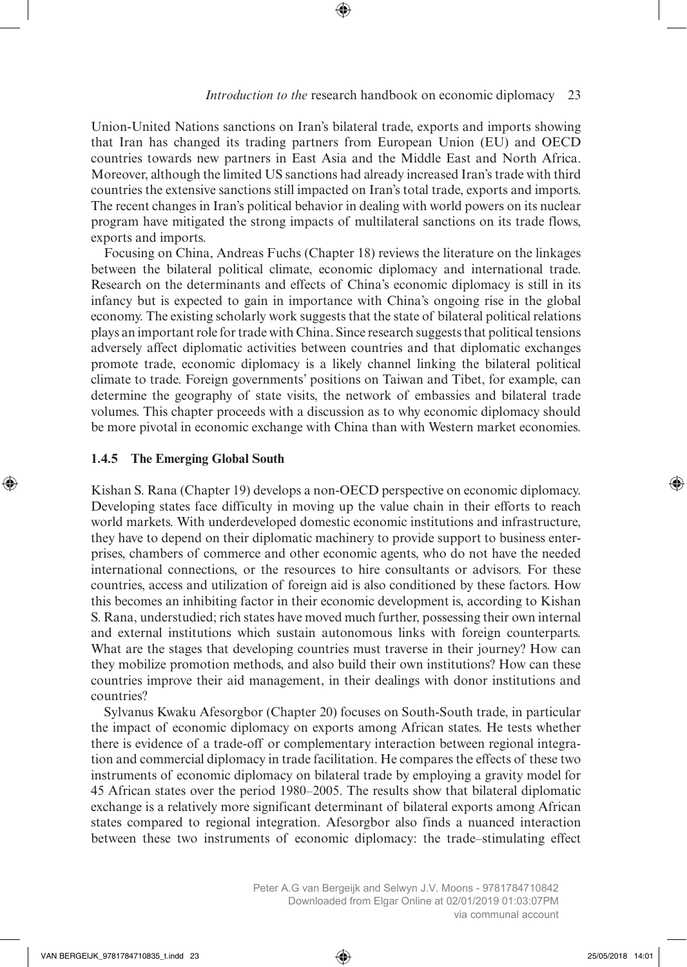Union-United Nations sanctions on Iran's bilateral trade, exports and imports showing that Iran has changed its trading partners from European Union (EU) and OECD countries towards new partners in East Asia and the Middle East and North Africa. Moreover, although the limited US sanctions had already increased Iran's trade with third countries the extensive sanctions still impacted on Iran's total trade, exports and imports. The recent changes in Iran's political behavior in dealing with world powers on its nuclear program have mitigated the strong impacts of multilateral sanctions on its trade flows, exports and imports.

Focusing on China, Andreas Fuchs (Chapter 18) reviews the literature on the linkages between the bilateral political climate, economic diplomacy and international trade. Research on the determinants and effects of China's economic diplomacy is still in its infancy but is expected to gain in importance with China's ongoing rise in the global economy. The existing scholarly work suggests that the state of bilateral political relations plays an important role for trade with China. Since research suggests that political tensions adversely affect diplomatic activities between countries and that diplomatic exchanges promote trade, economic diplomacy is a likely channel linking the bilateral political climate to trade. Foreign governments' positions on Taiwan and Tibet, for example, can determine the geography of state visits, the network of embassies and bilateral trade volumes. This chapter proceeds with a discussion as to why economic diplomacy should be more pivotal in economic exchange with China than with Western market economies.

### **1.4.5 The Emerging Global South**

Kishan S. Rana (Chapter 19) develops a non-OECD perspective on economic diplomacy. Developing states face difficulty in moving up the value chain in their efforts to reach world markets. With underdeveloped domestic economic institutions and infrastructure, they have to depend on their diplomatic machinery to provide support to business enterprises, chambers of commerce and other economic agents, who do not have the needed international connections, or the resources to hire consultants or advisors. For these countries, access and utilization of foreign aid is also conditioned by these factors. How this becomes an inhibiting factor in their economic development is, according to Kishan S. Rana, understudied; rich states have moved much further, possessing their own internal and external institutions which sustain autonomous links with foreign counterparts. What are the stages that developing countries must traverse in their journey? How can they mobilize promotion methods, and also build their own institutions? How can these countries improve their aid management, in their dealings with donor institutions and countries?

Sylvanus Kwaku Afesorgbor (Chapter 20) focuses on South-South trade, in particular the impact of economic diplomacy on exports among African states. He tests whether there is evidence of a trade-off or complementary interaction between regional integration and commercial diplomacy in trade facilitation. He compares the effects of these two instruments of economic diplomacy on bilateral trade by employing a gravity model for 45 African states over the period 1980–2005. The results show that bilateral diplomatic exchange is a relatively more significant determinant of bilateral exports among African states compared to regional integration. Afesorgbor also finds a nuanced interaction between these two instruments of economic diplomacy: the trade–stimulating effect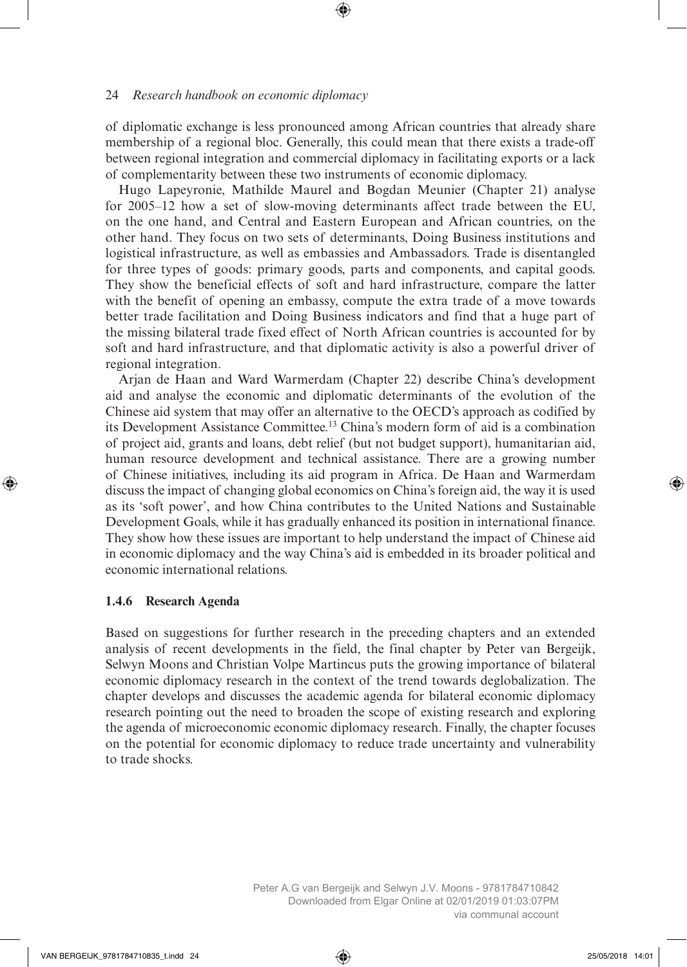of diplomatic exchange is less pronounced among African countries that already share membership of a regional bloc. Generally, this could mean that there exists a trade-off between regional integration and commercial diplomacy in facilitating exports or a lack of complementarity between these two instruments of economic diplomacy.

Hugo Lapeyronie, Mathilde Maurel and Bogdan Meunier (Chapter 21) analyse for 2005–12 how a set of slow-moving determinants affect trade between the EU, on the one hand, and Central and Eastern European and African countries, on the other hand. They focus on two sets of determinants, Doing Business institutions and logistical infrastructure, as well as embassies and Ambassadors. Trade is disentangled for three types of goods: primary goods, parts and components, and capital goods. They show the beneficial effects of soft and hard infrastructure, compare the latter with the benefit of opening an embassy, compute the extra trade of a move towards better trade facilitation and Doing Business indicators and find that a huge part of the missing bilateral trade fixed effect of North African countries is accounted for by soft and hard infrastructure, and that diplomatic activity is also a powerful driver of regional integration.

Arjan de Haan and Ward Warmerdam (Chapter 22) describe China's development aid and analyse the economic and diplomatic determinants of the evolution of the Chinese aid system that may offer an alternative to the OECD's approach as codified by its Development Assistance Committee.13 China's modern form of aid is a combination of project aid, grants and loans, debt relief (but not budget support), humanitarian aid, human resource development and technical assistance. There are a growing number of Chinese initiatives, including its aid program in Africa. De Haan and Warmerdam discuss the impact of changing global economics on China's foreign aid, the way it is used as its 'soft power', and how China contributes to the United Nations and Sustainable Development Goals, while it has gradually enhanced its position in international finance. They show how these issues are important to help understand the impact of Chinese aid in economic diplomacy and the way China's aid is embedded in its broader political and economic international relations.

### **1.4.6 Research Agenda**

Based on suggestions for further research in the preceding chapters and an extended analysis of recent developments in the field, the final chapter by Peter van Bergeijk, Selwyn Moons and Christian Volpe Martincus puts the growing importance of bilateral economic diplomacy research in the context of the trend towards deglobalization. The chapter develops and discusses the academic agenda for bilateral economic diplomacy research pointing out the need to broaden the scope of existing research and exploring the agenda of microeconomic economic diplomacy research. Finally, the chapter focuses on the potential for economic diplomacy to reduce trade uncertainty and vulnerability to trade shocks.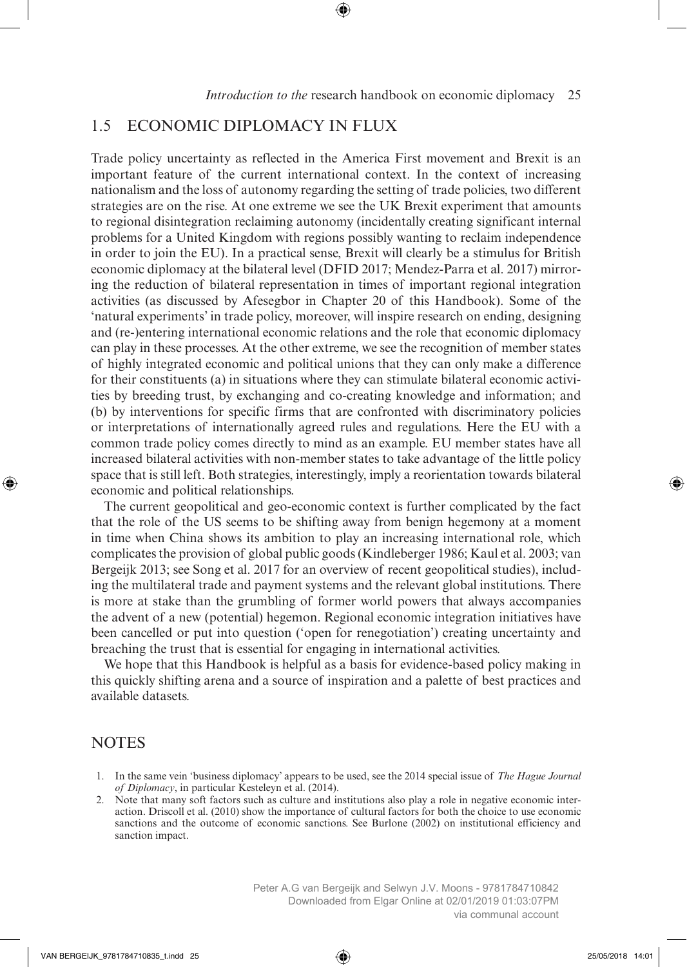# 1.5 ECONOMIC DIPLOMACY IN FLUX

Trade policy uncertainty as reflected in the America First movement and Brexit is an important feature of the current international context. In the context of increasing nationalism and the loss of autonomy regarding the setting of trade policies, two different strategies are on the rise. At one extreme we see the UK Brexit experiment that amounts to regional disintegration reclaiming autonomy (incidentally creating significant internal problems for a United Kingdom with regions possibly wanting to reclaim independence in order to join the EU). In a practical sense, Brexit will clearly be a stimulus for British economic diplomacy at the bilateral level (DFID 2017; Mendez-Parra et al. 2017) mirroring the reduction of bilateral representation in times of important regional integration activities (as discussed by Afesegbor in Chapter 20 of this Handbook). Some of the 'natural experiments' in trade policy, moreover, will inspire research on ending, designing and (re-)entering international economic relations and the role that economic diplomacy can play in these processes. At the other extreme, we see the recognition of member states of highly integrated economic and political unions that they can only make a difference for their constituents (a) in situations where they can stimulate bilateral economic activities by breeding trust, by exchanging and co-creating knowledge and information; and (b) by interventions for specific firms that are confronted with discriminatory policies or interpretations of internationally agreed rules and regulations. Here the EU with a common trade policy comes directly to mind as an example. EU member states have all increased bilateral activities with non-member states to take advantage of the little policy space that is still left. Both strategies, interestingly, imply a reorientation towards bilateral economic and political relationships.

The current geopolitical and geo-economic context is further complicated by the fact that the role of the US seems to be shifting away from benign hegemony at a moment in time when China shows its ambition to play an increasing international role, which complicates the provision of global public goods (Kindleberger 1986; Kaul et al. 2003; van Bergeijk 2013; see Song et al. 2017 for an overview of recent geopolitical studies), including the multilateral trade and payment systems and the relevant global institutions. There is more at stake than the grumbling of former world powers that always accompanies the advent of a new (potential) hegemon. Regional economic integration initiatives have been cancelled or put into question ('open for renegotiation') creating uncertainty and breaching the trust that is essential for engaging in international activities.

We hope that this Handbook is helpful as a basis for evidence-based policy making in this quickly shifting arena and a source of inspiration and a palette of best practices and available datasets.

# **NOTES**

- 1. In the same vein 'business diplomacy' appears to be used, see the 2014 special issue of *The Hague Journal of Diplomacy*, in particular Kesteleyn et al. (2014).
- 2. Note that many soft factors such as culture and institutions also play a role in negative economic interaction. Driscoll et al. (2010) show the importance of cultural factors for both the choice to use economic sanctions and the outcome of economic sanctions. See Burlone (2002) on institutional efficiency and sanction impact.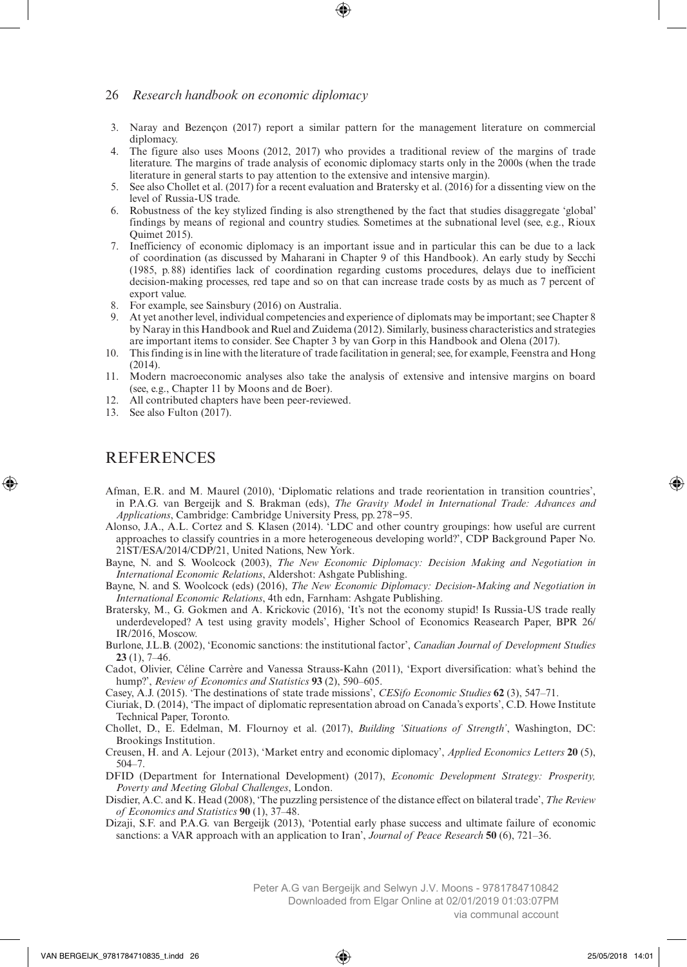- 3. Naray and Bezençon (2017) report a similar pattern for the management literature on commercial diplomacy.
- 4. The figure also uses Moons (2012, 2017) who provides a traditional review of the margins of trade literature. The margins of trade analysis of economic diplomacy starts only in the 2000s (when the trade literature in general starts to pay attention to the extensive and intensive margin).
- 5. See also Chollet et al. (2017) for a recent evaluation and Bratersky et al. (2016) for a dissenting view on the level of Russia-US trade.
- 6. Robustness of the key stylized finding is also strengthened by the fact that studies disaggregate 'global' findings by means of regional and country studies. Sometimes at the subnational level (see, e.g., Rioux Quimet 2015).
- 7. Inefficiency of economic diplomacy is an important issue and in particular this can be due to a lack of coordination (as discussed by Maharani in Chapter 9 of this Handbook). An early study by Secchi (1985, p.88) identifies lack of coordination regarding customs procedures, delays due to inefficient decision-making processes, red tape and so on that can increase trade costs by as much as 7 percent of export value.
- 8. For example, see Sainsbury (2016) on Australia.
- 9. At yet another level, individual competencies and experience of diplomats may be important; see Chapter 8 by Naray in this Handbook and Ruel and Zuidema (2012). Similarly, business characteristics and strategies are important items to consider. See Chapter 3 by van Gorp in this Handbook and Olena (2017).
- 10. This finding is in line with the literature of trade facilitation in general; see, for example, Feenstra and Hong (2014).
- 11. Modern macroeconomic analyses also take the analysis of extensive and intensive margins on board (see, e.g., Chapter 11 by Moons and de Boer).
- 12. All contributed chapters have been peer-reviewed.
- 13. See also Fulton (2017).

# REFERENCES

- Afman, E.R. and M. Maurel (2010), 'Diplomatic relations and trade reorientation in transition countries', in P.A.G. van Bergeijk and S. Brakman (eds), *The Gravity Model in International Trade: Advances and Applications*, Cambridge: Cambridge University Press, pp.278−95.
- Alonso, J.A., A.L. Cortez and S. Klasen (2014). 'LDC and other country groupings: how useful are current approaches to classify countries in a more heterogeneous developing world?', CDP Background Paper No. 21ST/ESA/2014/CDP/21, United Nations, New York.
- Bayne, N. and S. Woolcock (2003), *The New Economic Diplomacy: Decision Making and Negotiation in International Economic Relations*, Aldershot: Ashgate Publishing.
- Bayne, N. and S. Woolcock (eds) (2016), *The New Economic Diplomacy: Decision-Making and Negotiation in International Economic Relations*, 4th edn, Farnham: Ashgate Publishing.
- Bratersky, M., G. Gokmen and A. Krickovic (2016), 'It's not the economy stupid! Is Russia-US trade really underdeveloped? A test using gravity models', Higher School of Economics Reasearch Paper, BPR 26/ IR/2016, Moscow.
- Burlone, J.L.B. (2002), 'Economic sanctions: the institutional factor', *Canadian Journal of Development Studies* **23** (1), 7–46.
- Cadot, Olivier, Céline Carrère and Vanessa Strauss-Kahn (2011), 'Export diversification: what's behind the hump?', *Review of Economics and Statistics* **93** (2), 590–605.
- Casey, A.J. (2015). 'The destinations of state trade missions', *CESifo Economic Studies* **62** (3), 547–71.
- Ciuriak, D. (2014), 'The impact of diplomatic representation abroad on Canada's exports', C.D. Howe Institute Technical Paper, Toronto.
- Chollet, D., E. Edelman, M. Flournoy et al. (2017), *Building 'Situations of Strength'*, Washington, DC: Brookings Institution.
- Creusen, H. and A. Lejour (2013), 'Market entry and economic diplomacy', *Applied Economics Letters* **20** (5), 504–7.
- DFID (Department for International Development) (2017), *Economic Development Strategy: Prosperity, Poverty and Meeting Global Challenges*, London.
- Disdier, A.C. and K. Head (2008), 'The puzzling persistence of the distance effect on bilateral trade', *The Review of Economics and Statistics* **90** (1), 37–48.
- Dizaji, S.F. and P.A.G. van Bergeijk (2013), 'Potential early phase success and ultimate failure of economic sanctions: a VAR approach with an application to Iran', *Journal of Peace Research* **50** (6), 721–36.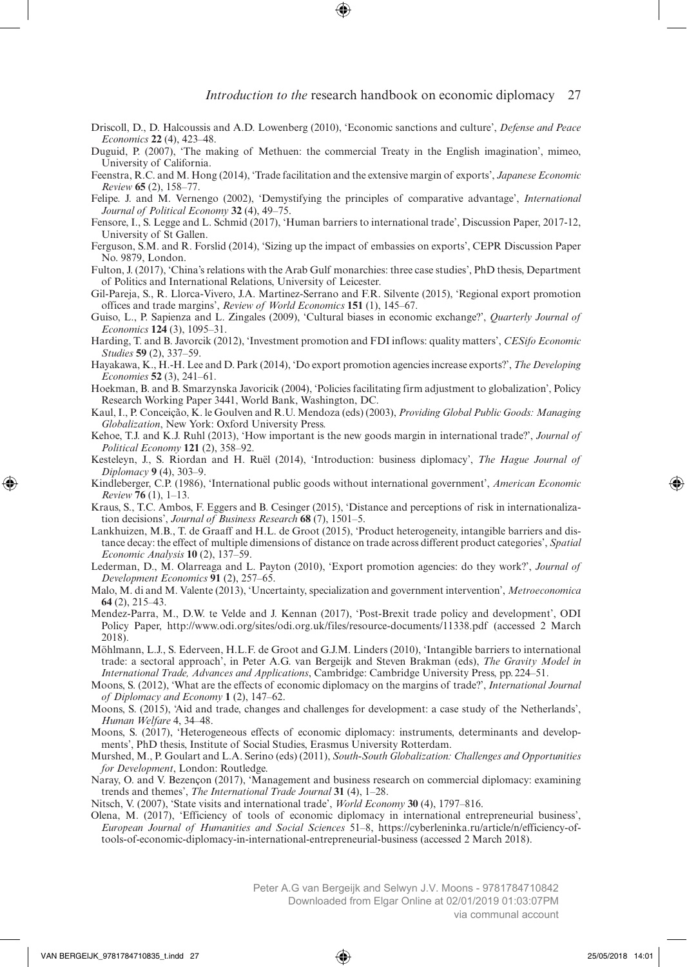- Driscoll, D., D. Halcoussis and A.D. Lowenberg (2010), 'Economic sanctions and culture', *Defense and Peace Economics* **22** (4), 423–48.
- Duguid, P. (2007), 'The making of Methuen: the commercial Treaty in the English imagination', mimeo, University of California.
- Feenstra, R.C. and M. Hong (2014), 'Trade facilitation and the extensive margin of exports', *Japanese Economic Review* **65** (2), 158–77.
- Felipe. J. and M. Vernengo (2002), 'Demystifying the principles of comparative advantage', *International Journal of Political Economy* **32** (4), 49–75.
- Fensore, I., S. Legge and L. Schmid (2017), 'Human barriers to international trade', Discussion Paper, 2017-12, University of St Gallen.
- Ferguson, S.M. and R. Forslid (2014), 'Sizing up the impact of embassies on exports', CEPR Discussion Paper No. 9879, London.
- Fulton, J. (2017), 'China's relations with the Arab Gulf monarchies: three case studies', PhD thesis, Department of Politics and International Relations, University of Leicester.
- Gil-Pareja, S., R. Llorca-Vivero, J.A. Martinez-Serrano and F.R. Silvente (2015), 'Regional export promotion offices and trade margins', *Review of World Economics* **151** (1), 145–67.
- Guiso, L., P. Sapienza and L. Zingales (2009), 'Cultural biases in economic exchange?', *Quarterly Journal of Economics* **124** (3), 1095–31.
- Harding, T. and B. Javorcik (2012), 'Investment promotion and FDI inflows: quality matters', *CESifo Economic Studies* **59** (2), 337–59.
- Hayakawa, K., H.-H. Lee and D. Park (2014), 'Do export promotion agencies increase exports?', *The Developing Economies* **52** (3), 241–61.
- Hoekman, B. and B. Smarzynska Javoricik (2004), 'Policies facilitating firm adjustment to globalization', Policy Research Working Paper 3441, World Bank, Washington, DC.
- Kaul, I., P. Conceição, K. le Goulven and R.U. Mendoza (eds) (2003), *Providing Global Public Goods: Managing Globalization*, New York: Oxford University Press.
- Kehoe, T.J. and K.J. Ruhl (2013), 'How important is the new goods margin in international trade?', *Journal of Political Economy* **121** (2), 358–92.
- Kesteleyn, J., S. Riordan and H. Ruël (2014), 'Introduction: business diplomacy', *The Hague Journal of Diplomacy* **9** (4), 303–9.
- Kindleberger, C.P. (1986), 'International public goods without international government', *American Economic Review* **76** (1), 1–13.
- Kraus, S., T.C. Ambos, F. Eggers and B. Cesinger (2015), 'Distance and perceptions of risk in internationalization decisions', *Journal of Business Research* **68** (7), 1501–5.
- Lankhuizen, M.B., T. de Graaff and H.L. de Groot (2015), 'Product heterogeneity, intangible barriers and distance decay: the effect of multiple dimensions of distance on trade across different product categories', *Spatial Economic Analysis* **10** (2), 137–59.
- Lederman, D., M. Olarreaga and L. Payton (2010), 'Export promotion agencies: do they work?', *Journal of Development Economics* **91** (2), 257–65.
- Malo, M. di and M. Valente (2013), 'Uncertainty, specialization and government intervention', *Metroeconomica* **64** (2), 215–43.
- Mendez-Parra, M., D.W. te Velde and J. Kennan (2017), 'Post-Brexit trade policy and development', ODI Policy Paper, http://www.odi.org/sites/odi.org.uk/files/resource-documents/11338.pdf (accessed 2 March 2018).
- Möhlmann, L.J., S. Ederveen, H.L.F. de Groot and G.J.M. Linders (2010), 'Intangible barriers to international trade: a sectoral approach', in Peter A.G. van Bergeijk and Steven Brakman (eds), *The Gravity Model in International Trade, Advances and Applications*, Cambridge: Cambridge University Press, pp. 224–51.
- Moons, S. (2012), 'What are the effects of economic diplomacy on the margins of trade?', *International Journal of Diplomacy and Economy* **1** (2), 147–62.
- Moons, S. (2015), 'Aid and trade, changes and challenges for development: a case study of the Netherlands', *Human Welfare* 4, 34–48.
- Moons, S. (2017), 'Heterogeneous effects of economic diplomacy: instruments, determinants and developments', PhD thesis, Institute of Social Studies, Erasmus University Rotterdam.
- Murshed, M., P. Goulart and L.A. Serino (eds) (2011), *South-South Globalization: Challenges and Opportunities for Development*, London: Routledge.
- Naray, O. and V. Bezençon (2017), 'Management and business research on commercial diplomacy: examining trends and themes', *The International Trade Journal* **31** (4), 1–28.
- Nitsch, V. (2007), 'State visits and international trade', *World Economy* **30** (4), 1797–816.
- Olena, M. (2017), 'Efficiency of tools of economic diplomacy in international entrepreneurial business', *European Journal of Humanities and Social Sciences* 51–8, https://cyberleninka.ru/article/n/efficiency-oftools-of-economic-diplomacy-in-international-entrepreneurial-business (accessed 2 March 2018).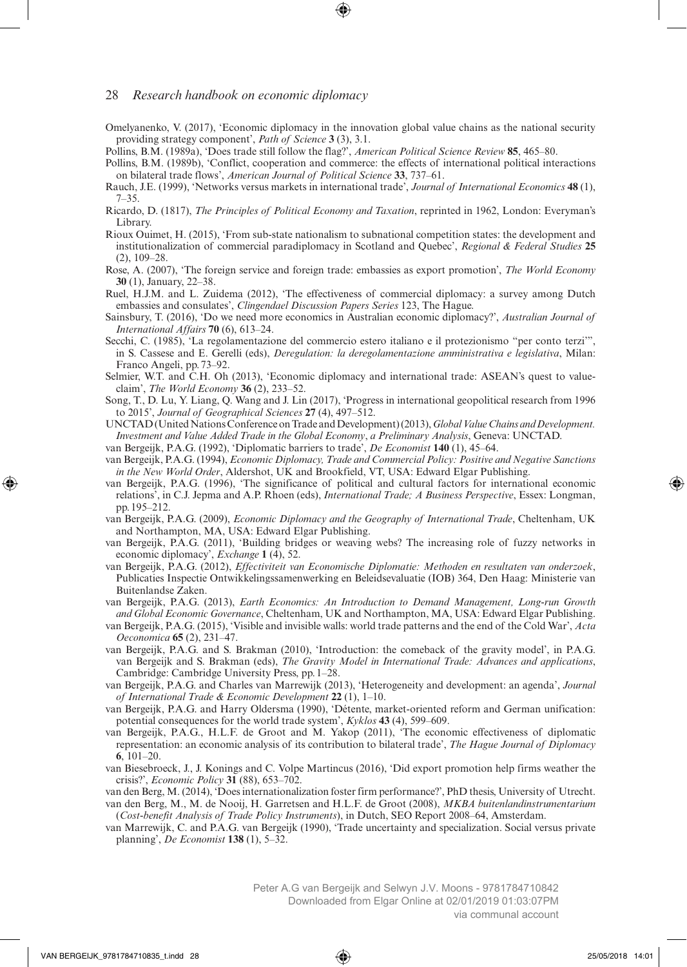- Omelyanenko, V. (2017), 'Economic diplomacy in the innovation global value chains as the national security providing strategy component', *Path of Science* **3** (3), 3.1.
- Pollins, B.M. (1989a), 'Does trade still follow the flag?', *American Political Science Review* **85**, 465–80.
- Pollins, B.M. (1989b), 'Conflict, cooperation and commerce: the effects of international political interactions on bilateral trade flows', *American Journal of Political Science* **33**, 737–61.
- Rauch, J.E. (1999), 'Networks versus markets in international trade', *Journal of International Economics* **48** (1), 7–35.
- Ricardo, D. (1817), *The Principles of Political Economy and Taxation*, reprinted in 1962, London: Everyman's Library.
- Rioux Ouimet, H. (2015), 'From sub-state nationalism to subnational competition states: the development and institutionalization of commercial paradiplomacy in Scotland and Quebec', *Regional & Federal Studies* **25** (2), 109–28.
- Rose, A. (2007), 'The foreign service and foreign trade: embassies as export promotion', *The World Economy* **30** (1), January, 22–38.
- Ruel, H.J.M. and L. Zuidema (2012), 'The effectiveness of commercial diplomacy: a survey among Dutch embassies and consulates', *Clingendael Discussion Papers Series* 123, The Hague.
- Sainsbury, T. (2016), 'Do we need more economics in Australian economic diplomacy?', *Australian Journal of International Affairs* **70** (6), 613–24.
- Secchi, C. (1985), 'La regolamentazione del commercio estero italiano e il protezionismo "per conto terzi'", in S. Cassese and E. Gerelli (eds), *Deregulation: la deregolamentazione amministrativa e legislativa*, Milan: Franco Angeli, pp. 73–92.
- Selmier, W.T. and C.H. Oh (2013), 'Economic diplomacy and international trade: ASEAN's quest to valueclaim', *The World Economy* **36** (2), 233–52.
- Song, T., D. Lu, Y. Liang, Q. Wang and J. Lin (2017), 'Progress in international geopolitical research from 1996 to 2015', *Journal of Geographical Sciences* **27** (4), 497–512.
- UNCTAD (United Nations Conference on Trade and Development) (2013), *GlobalValueChainsandDevelopment. Investment and Value Added Trade in the Global Economy*, *a Preliminary Analysis*, Geneva: UNCTAD.
- van Bergeijk, P.A.G. (1992), 'Diplomatic barriers to trade', *De Economist* **140** (1), 45–64.
- van Bergeijk, P.A.G. (1994), *Economic Diplomacy, Trade and Commercial Policy: Positive and Negative Sanctions in the New World Order*, Aldershot, UK and Brookfield, VT, USA: Edward Elgar Publishing.
- van Bergeijk, P.A.G. (1996), 'The significance of political and cultural factors for international economic relations', in C.J. Jepma and A.P. Rhoen (eds), *International Trade; A Business Perspective*, Essex: Longman, pp.195–212.
- van Bergeijk, P.A.G. (2009), *Economic Diplomacy and the Geography of International Trade*, Cheltenham, UK and Northampton, MA, USA: Edward Elgar Publishing.
- van Bergeijk, P.A.G. (2011), 'Building bridges or weaving webs? The increasing role of fuzzy networks in economic diplomacy', *Exchange* **1** (4), 52.
- van Bergeijk, P.A.G. (2012), *Effectiviteit van Economische Diplomatie: Methoden en resultaten van onderzoek*, Publicaties Inspectie Ontwikkelingssamenwerking en Beleidsevaluatie (IOB) 364, Den Haag: Ministerie van Buitenlandse Zaken.
- van Bergeijk, P.A.G. (2013), *Earth Economics: An Introduction to Demand Management, Long-run Growth and Global Economic Governance*, Cheltenham, UK and Northampton, MA, USA: Edward Elgar Publishing.
- van Bergeijk, P.A.G. (2015), 'Visible and invisible walls: world trade patterns and the end of the Cold War', *Acta Oeconomica* **65** (2), 231–47.
- van Bergeijk, P.A.G. and S. Brakman (2010), 'Introduction: the comeback of the gravity model', in P.A.G. van Bergeijk and S. Brakman (eds), *The Gravity Model in International Trade: Advances and applications*, Cambridge: Cambridge University Press, pp. 1–28.
- van Bergeijk, P.A.G. and Charles van Marrewijk (2013), 'Heterogeneity and development: an agenda', *Journal of International Trade & Economic Development* **22** (1), 1–10.
- van Bergeijk, P.A.G. and Harry Oldersma (1990), 'Détente, market-oriented reform and German unification: potential consequences for the world trade system', *Kyklos* **43** (4), 599–609.
- van Bergeijk, P.A.G., H.L.F. de Groot and M. Yakop (2011), 'The economic effectiveness of diplomatic representation: an economic analysis of its contribution to bilateral trade', *The Hague Journal of Diplomacy*  **6**, 101–20.
- van Biesebroeck, J., J. Konings and C. Volpe Martincus (2016), 'Did export promotion help firms weather the crisis?', *Economic Policy* **31** (88), 653–702.
- van den Berg, M. (2014), 'Does internationalization foster firm performance?', PhD thesis, University of Utrecht. van den Berg, M., M. de Nooij, H. Garretsen and H.L.F. de Groot (2008), *MKBA buitenlandinstrumentarium* (*Cost-benefit Analysis of Trade Policy Instruments*), in Dutch, SEO Report 2008–64, Amsterdam.
- van Marrewijk, C. and P.A.G. van Bergeijk (1990), 'Trade uncertainty and specialization. Social versus private planning', *De Economist* **138** (1), 5–32.